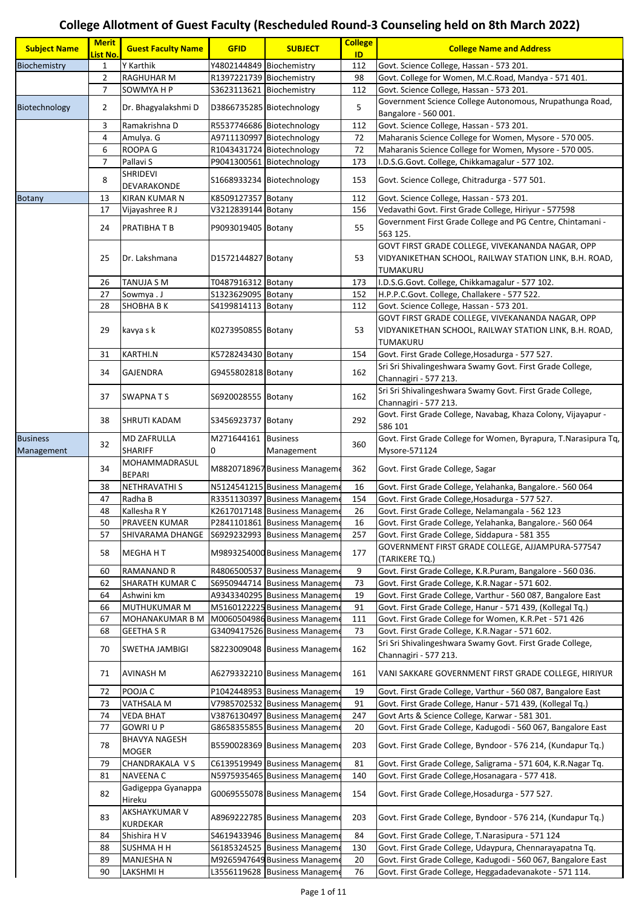## **College Allotment of Guest Faculty (Rescheduled Round-3 Counseling held on 8th March 2022)**

| <b>Subject Name</b>           | <b>Merit</b><br><mark>List No.</mark> | <b>Guest Faculty Name</b>                  | <b>GFID</b>              | <b>SUBJECT</b>                                                 | <b>College</b><br>ID | <b>College Name and Address</b>                                                                                        |
|-------------------------------|---------------------------------------|--------------------------------------------|--------------------------|----------------------------------------------------------------|----------------------|------------------------------------------------------------------------------------------------------------------------|
| Biochemistry                  | 1                                     | Y Karthik                                  | Y4802144849              | Biochemistry                                                   | 112                  | Govt. Science College, Hassan - 573 201.                                                                               |
|                               | 2                                     | <b>RAGHUHAR M</b>                          | R1397221739 Biochemistry |                                                                | 98                   | Govt. College for Women, M.C.Road, Mandya - 571 401.                                                                   |
|                               | $\overline{7}$                        | SOWMYA H P                                 | S3623113621              | Biochemistry                                                   | 112                  | Govt. Science College, Hassan - 573 201.                                                                               |
|                               |                                       |                                            |                          |                                                                |                      | Government Science College Autonomous, Nrupathunga Road,                                                               |
| Biotechnology                 | $\overline{2}$                        | Dr. Bhagyalakshmi D                        |                          | D3866735285 Biotechnology                                      | 5                    | Bangalore - 560 001.                                                                                                   |
|                               | 3                                     | Ramakrishna D                              |                          | R5537746686 Biotechnology                                      | 112                  | Govt. Science College, Hassan - 573 201.                                                                               |
|                               | 4                                     | Amulya. G                                  |                          | A9711130997 Biotechnology                                      | 72                   | Maharanis Science College for Women, Mysore - 570 005.                                                                 |
|                               | 6                                     | <b>ROOPA G</b>                             |                          | R1043431724 Biotechnology                                      | 72                   | Maharanis Science College for Women, Mysore - 570 005.                                                                 |
|                               | 7                                     | Pallavi S                                  | P9041300561              | Biotechnology                                                  | 173                  | I.D.S.G.Govt. College, Chikkamagalur - 577 102.                                                                        |
|                               | 8                                     | SHRIDEVI<br>DEVARAKONDE                    |                          | S1668933234 Biotechnology                                      | 153                  | Govt. Science College, Chitradurga - 577 501.                                                                          |
| <b>Botany</b>                 | 13                                    | <b>KIRAN KUMAR N</b>                       | K8509127357              | Botany                                                         | 112                  | Govt. Science College, Hassan - 573 201.                                                                               |
|                               | 17                                    | Vijayashree R J                            | V3212839144 Botany       |                                                                | 156                  | Vedavathi Govt. First Grade College, Hiriyur - 577598                                                                  |
|                               | 24                                    | <b>PRATIBHATB</b>                          | P9093019405 Botany       |                                                                | 55                   | Government First Grade College and PG Centre, Chintamani -<br>563 125.                                                 |
|                               | 25                                    | Dr. Lakshmana                              | D1572144827 Botany       |                                                                | 53                   | GOVT FIRST GRADE COLLEGE, VIVEKANANDA NAGAR, OPP<br>VIDYANIKETHAN SCHOOL, RAILWAY STATION LINK, B.H. ROAD,<br>TUMAKURU |
|                               | 26                                    | <b>TANUJA S M</b>                          | T0487916312 Botany       |                                                                | 173                  | I.D.S.G.Govt. College, Chikkamagalur - 577 102.                                                                        |
|                               | 27                                    | Sowmya.J                                   | S1323629095 Botany       |                                                                | 152                  | H.P.P.C.Govt. College, Challakere - 577 522.                                                                           |
|                               | 28                                    | <b>SHOBHA B K</b>                          | S4199814113 Botany       |                                                                | 112                  | Govt. Science College, Hassan - 573 201.                                                                               |
|                               | 29                                    | kavya s k                                  | K0273950855 Botany       |                                                                | 53                   | GOVT FIRST GRADE COLLEGE, VIVEKANANDA NAGAR, OPP<br>VIDYANIKETHAN SCHOOL, RAILWAY STATION LINK, B.H. ROAD,             |
|                               | 31                                    | <b>KARTHI.N</b>                            | K5728243430 Botany       |                                                                | 154                  | TUMAKURU                                                                                                               |
|                               |                                       |                                            |                          |                                                                |                      | Govt. First Grade College, Hosadurga - 577 527.<br>Sri Sri Shivalingeshwara Swamy Govt. First Grade College,           |
|                               | 34                                    | <b>GAJENDRA</b>                            | G9455802818 Botany       |                                                                | 162                  | Channagiri - 577 213.                                                                                                  |
|                               | 37                                    | <b>SWAPNATS</b>                            | S6920028555 Botany       |                                                                | 162                  | Sri Sri Shivalingeshwara Swamy Govt. First Grade College,<br>Channagiri - 577 213.                                     |
|                               |                                       |                                            |                          |                                                                |                      | Govt. First Grade College, Navabag, Khaza Colony, Vijayapur -                                                          |
|                               | 38                                    | SHRUTI KADAM                               | S3456923737 Botany       |                                                                | 292                  | 586 101                                                                                                                |
| <b>Business</b><br>Management | 32                                    | <b>MD ZAFRULLA</b><br><b>SHARIFF</b>       | M271644161 Business<br>0 | Management                                                     | 360                  | Govt. First Grade College for Women, Byrapura, T.Narasipura Tq,<br>Mysore-571124                                       |
|                               | 34                                    | MOHAMMADRASUL<br><b>BEPARI</b>             |                          | M8820718967 Business Manageme                                  | 362                  | Govt. First Grade College, Sagar                                                                                       |
|                               | 38                                    | NETHRAVATHI S                              |                          | N5124541215 Business Manageme                                  | 16                   | Govt. First Grade College, Yelahanka, Bangalore.- 560 064                                                              |
|                               | 47                                    | Radha B                                    |                          | R3351130397 Business Manageme                                  | 154                  | Govt. First Grade College, Hosadurga - 577 527.                                                                        |
|                               | 48                                    | Kallesha R Y                               |                          | K2617017148 Business Manageme                                  | 26                   | Govt. First Grade College, Nelamangala - 562 123                                                                       |
|                               | 50                                    | PRAVEEN KUMAR                              |                          | P2841101861 Business Manageme                                  | 16                   | Govt. First Grade College, Yelahanka, Bangalore.- 560 064                                                              |
|                               | 57                                    | SHIVARAMA DHANGE                           |                          | S6929232993 Business Manageme                                  | 257                  | Govt. First Grade College, Siddapura - 581 355                                                                         |
|                               | 58                                    | <b>MEGHAHT</b>                             |                          | M9893254000 Business Manageme                                  | 177                  | GOVERNMENT FIRST GRADE COLLEGE, AJJAMPURA-577547<br>(TARIKERE TQ.)                                                     |
|                               | 60                                    | <b>RAMANAND R</b>                          |                          | R4806500537 Business Manageme                                  | 9                    | Govt. First Grade College, K.R.Puram, Bangalore - 560 036.                                                             |
|                               | 62                                    | <b>SHARATH KUMAR C</b>                     | S6950944714              | <b>Business Manageme</b>                                       | 73                   | Govt. First Grade College, K.R.Nagar - 571 602.                                                                        |
|                               | 64                                    | Ashwini km                                 |                          | A9343340295 Business Manageme                                  | 19                   | Govt. First Grade College, Varthur - 560 087, Bangalore East                                                           |
|                               | 66                                    | MUTHUKUMAR M                               |                          | M5160122225 Business Manageme                                  | 91                   | Govt. First Grade College, Hanur - 571 439, (Kollegal Tq.)                                                             |
|                               | 67                                    | MOHANAKUMAR B M                            |                          | M0060504986 Business Manageme                                  | 111                  | Govt. First Grade College for Women, K.R.Pet - 571 426                                                                 |
|                               | 68<br>70                              | <b>GEETHA S R</b><br><b>SWETHA JAMBIGI</b> |                          | G3409417526 Business Manageme<br>S8223009048 Business Manageme | 73<br>162            | Govt. First Grade College, K.R.Nagar - 571 602.<br>Sri Sri Shivalingeshwara Swamy Govt. First Grade College,           |
|                               | 71                                    | AVINASH M                                  |                          | A6279332210 Business Manageme                                  | 161                  | Channagiri - 577 213.<br>VANI SAKKARE GOVERNMENT FIRST GRADE COLLEGE, HIRIYUR                                          |
|                               | 72                                    | POOJA C                                    |                          | P1042448953 Business Manageme                                  | 19                   | Govt. First Grade College, Varthur - 560 087, Bangalore East                                                           |
|                               | 73                                    | <b>VATHSALA M</b>                          |                          | V7985702532 Business Manageme                                  | 91                   | Govt. First Grade College, Hanur - 571 439, (Kollegal Tq.)                                                             |
|                               | 74                                    | <b>VEDA BHAT</b>                           | V3876130497              | <b>Business Manageme</b>                                       | 247                  | Govt Arts & Science College, Karwar - 581 301.                                                                         |
|                               | 77                                    | <b>GOWRIUP</b>                             |                          | G8658355855 Business Manageme                                  | 20                   | Govt. First Grade College, Kadugodi - 560 067, Bangalore East                                                          |
|                               | 78                                    | <b>BHAVYA NAGESH</b><br><b>MOGER</b>       |                          | B5590028369 Business Manageme                                  | 203                  | Govt. First Grade College, Byndoor - 576 214, (Kundapur Tq.)                                                           |
|                               | 79                                    | CHANDRAKALA VS                             | C6139519949              | <b>Business Manageme</b>                                       | 81                   | Govt. First Grade College, Saligrama - 571 604, K.R.Nagar Tq.                                                          |
|                               | 81                                    | <b>NAVEENA C</b>                           |                          | N5975935465 Business Managem                                   | 140                  | Govt. First Grade College, Hosanagara - 577 418.                                                                       |
|                               | 82                                    | Gadigeppa Gyanappa<br>Hireku               |                          | G0069555078 Business Manageme                                  | 154                  | Govt. First Grade College, Hosadurga - 577 527.                                                                        |
|                               | 83                                    | AKSHAYKUMAR V<br><b>KURDEKAR</b>           |                          | A8969222785 Business Manageme                                  | 203                  | Govt. First Grade College, Byndoor - 576 214, (Kundapur Tq.)                                                           |
|                               | 84                                    | Shishira H V                               |                          | S4619433946 Business Manageme                                  | 84                   | Govt. First Grade College, T.Narasipura - 571 124                                                                      |
|                               | 88                                    | <b>SUSHMA H H</b>                          | S6185324525              | <b>Business Manageme</b>                                       | 130                  | Govt. First Grade College, Udaypura, Chennarayapatna Tq.                                                               |
|                               | 89                                    | <b>MANJESHAN</b>                           |                          | M9265947649 Business Manageme                                  | 20                   | Govt. First Grade College, Kadugodi - 560 067, Bangalore East                                                          |
|                               | 90                                    | LAKSHMI H                                  |                          | L3556119628 Business Manageme                                  | 76                   | Govt. First Grade College, Heggadadevanakote - 571 114.                                                                |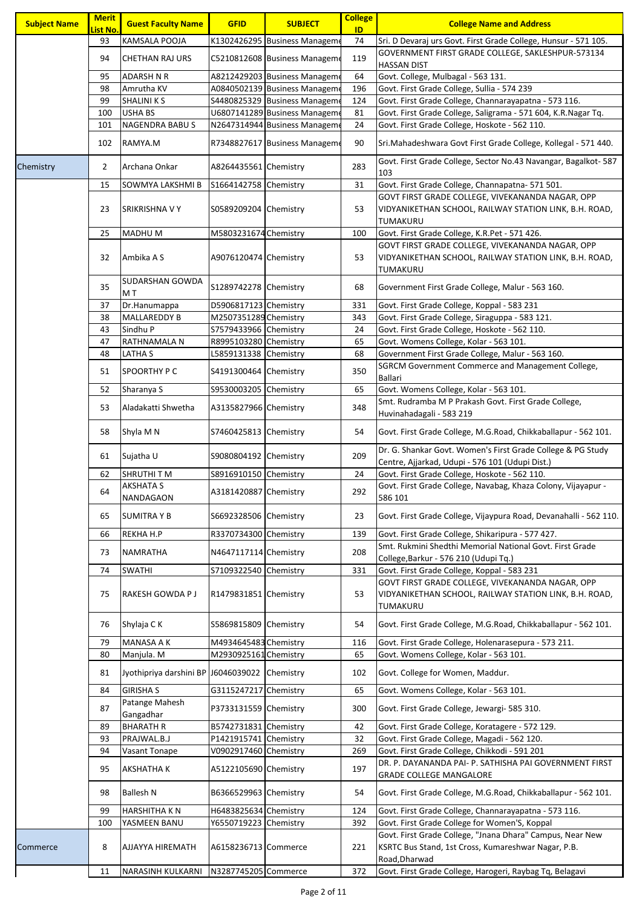| <b>Subject Name</b> | <b>Merit</b><br>.ist No. | <b>Guest Faculty Name</b>                     | <b>GFID</b>           | <b>SUBJECT</b>                                                 | <b>College</b><br>ID | <b>College Name and Address</b>                                                                                                   |
|---------------------|--------------------------|-----------------------------------------------|-----------------------|----------------------------------------------------------------|----------------------|-----------------------------------------------------------------------------------------------------------------------------------|
|                     | 93                       | KAMSALA POOJA                                 |                       | K1302426295 Business Manageme                                  | 74                   | Sri. D Devaraj urs Govt. First Grade College, Hunsur - 571 105.                                                                   |
|                     | 94                       | <b>CHETHAN RAJ URS</b>                        |                       | C5210812608 Business Manageme                                  | 119                  | GOVERNMENT FIRST GRADE COLLEGE, SAKLESHPUR-573134                                                                                 |
|                     |                          |                                               |                       |                                                                |                      | <b>HASSAN DIST</b>                                                                                                                |
|                     | 95                       | <b>ADARSH N R</b>                             |                       | A8212429203 Business Manageme                                  | 64                   | Govt. College, Mulbagal - 563 131.                                                                                                |
|                     | 98                       | Amrutha KV                                    |                       | A0840502139 Business Manageme                                  | 196                  | Govt. First Grade College, Sullia - 574 239                                                                                       |
|                     | 99                       | <b>SHALINI K S</b>                            |                       | S4480825329 Business Manageme                                  | 124                  | Govt. First Grade College, Channarayapatna - 573 116.                                                                             |
|                     | 100<br>101               | <b>USHA BS</b><br><b>NAGENDRA BABUS</b>       |                       | U6807141289 Business Manageme<br>N2647314944 Business Manageme | 81<br>24             | Govt. First Grade College, Saligrama - 571 604, K.R.Nagar Tq.<br>Govt. First Grade College, Hoskote - 562 110.                    |
|                     |                          |                                               |                       |                                                                |                      |                                                                                                                                   |
|                     | 102                      | RAMYA.M                                       |                       | R7348827617 Business Manageme                                  | 90                   | Sri.Mahadeshwara Govt First Grade College, Kollegal - 571 440.                                                                    |
| Chemistry           | 2                        | Archana Onkar                                 | A8264435561 Chemistry |                                                                | 283                  | Govt. First Grade College, Sector No.43 Navangar, Bagalkot-587<br>103                                                             |
|                     | 15                       | SOWMYA LAKSHMI B                              | S1664142758 Chemistry |                                                                | 31                   | Govt. First Grade College, Channapatna- 571 501.                                                                                  |
|                     | 23                       | SRIKRISHNA V Y                                | S0589209204 Chemistry |                                                                | 53                   | GOVT FIRST GRADE COLLEGE, VIVEKANANDA NAGAR, OPP<br>VIDYANIKETHAN SCHOOL, RAILWAY STATION LINK, B.H. ROAD,<br>TUMAKURU            |
|                     | 25                       | <b>MADHUM</b>                                 | M5803231674 Chemistry |                                                                | 100                  | Govt. First Grade College, K.R.Pet - 571 426.                                                                                     |
|                     | 32                       | Ambika A S                                    | A9076120474 Chemistry |                                                                | 53                   | GOVT FIRST GRADE COLLEGE, VIVEKANANDA NAGAR, OPP<br>VIDYANIKETHAN SCHOOL, RAILWAY STATION LINK, B.H. ROAD,<br>TUMAKURU            |
|                     | 35                       | <b>SUDARSHAN GOWDA</b><br>M T                 | S1289742278 Chemistry |                                                                | 68                   | Government First Grade College, Malur - 563 160.                                                                                  |
|                     | 37                       | Dr.Hanumappa                                  | D5906817123 Chemistry |                                                                | 331                  | Govt. First Grade College, Koppal - 583 231                                                                                       |
|                     | 38                       | <b>MALLAREDDY B</b>                           | M2507351289 Chemistry |                                                                | 343                  | Govt. First Grade College, Siraguppa - 583 121.                                                                                   |
|                     | 43                       | Sindhu P                                      | S7579433966 Chemistry |                                                                | 24                   | Govt. First Grade College, Hoskote - 562 110.                                                                                     |
|                     | 47                       | RATHNAMALA N                                  | R8995103280 Chemistry |                                                                | 65                   | Govt. Womens College, Kolar - 563 101.                                                                                            |
|                     | 48                       | LATHA S                                       | L5859131338 Chemistry |                                                                | 68                   | Government First Grade College, Malur - 563 160.                                                                                  |
|                     | 51                       | SPOORTHY P C                                  | S4191300464 Chemistry |                                                                | 350                  | SGRCM Government Commerce and Management College,<br><b>Ballari</b>                                                               |
|                     | 52                       | Sharanya S                                    | S9530003205 Chemistry |                                                                | 65                   | Govt. Womens College, Kolar - 563 101.                                                                                            |
|                     | 53                       | Aladakatti Shwetha                            | A3135827966 Chemistry |                                                                | 348                  | Smt. Rudramba M P Prakash Govt. First Grade College,<br>Huvinahadagali - 583 219                                                  |
|                     | 58                       | Shyla M N                                     | S7460425813 Chemistry |                                                                | 54                   | Govt. First Grade College, M.G.Road, Chikkaballapur - 562 101.                                                                    |
|                     | 61                       | Sujatha U                                     | S9080804192 Chemistry |                                                                | 209                  | Dr. G. Shankar Govt. Women's First Grade College & PG Study<br>Centre, Ajjarkad, Udupi - 576 101 (Udupi Dist.)                    |
|                     | 62                       | <b>SHRUTHITM</b>                              | S8916910150 Chemistry |                                                                | 24                   | Govt. First Grade College, Hoskote - 562 110.                                                                                     |
|                     | 64                       | AKSHATA S<br>NANDAGAON                        | A3181420887 Chemistry |                                                                | 292                  | Govt. First Grade College, Navabag, Khaza Colony, Vijayapur -<br>586 101                                                          |
|                     | 65                       | <b>SUMITRAYB</b>                              | S6692328506 Chemistry |                                                                | 23                   | Govt. First Grade College, Vijaypura Road, Devanahalli - 562 110.                                                                 |
|                     | 66                       | REKHA H.P                                     | R3370734300 Chemistry |                                                                | 139                  | Govt. First Grade College, Shikaripura - 577 427.                                                                                 |
|                     |                          |                                               |                       |                                                                |                      | Smt. Rukmini Shedthi Memorial National Govt. First Grade                                                                          |
|                     | 73                       | <b>NAMRATHA</b>                               | N4647117114 Chemistry |                                                                | 208                  | College, Barkur - 576 210 (Udupi Tq.)                                                                                             |
|                     | 74                       | <b>SWATHI</b>                                 | S7109322540 Chemistry |                                                                | 331                  | Govt. First Grade College, Koppal - 583 231                                                                                       |
|                     | 75                       | <b>RAKESH GOWDA PJ</b>                        | R1479831851 Chemistry |                                                                | 53                   | GOVT FIRST GRADE COLLEGE, VIVEKANANDA NAGAR, OPP<br>VIDYANIKETHAN SCHOOL, RAILWAY STATION LINK, B.H. ROAD,                        |
|                     | 76                       | Shylaja C K                                   | S5869815809 Chemistry |                                                                | 54                   | TUMAKURU<br>Govt. First Grade College, M.G.Road, Chikkaballapur - 562 101.                                                        |
|                     | 79                       | MANASA A K                                    | M4934645483 Chemistry |                                                                | 116                  | Govt. First Grade College, Holenarasepura - 573 211.                                                                              |
|                     | 80                       | Manjula. M                                    | M2930925161 Chemistry |                                                                | 65                   | Govt. Womens College, Kolar - 563 101.                                                                                            |
|                     | 81                       | Jyothipriya darshini BP J6046039022 Chemistry |                       |                                                                | 102                  | Govt. College for Women, Maddur.                                                                                                  |
|                     | 84                       | <b>GIRISHA S</b>                              | G3115247217 Chemistry |                                                                | 65                   | Govt. Womens College, Kolar - 563 101.                                                                                            |
|                     | 87                       | Patange Mahesh<br>Gangadhar                   | P3733131559 Chemistry |                                                                | 300                  | Govt. First Grade College, Jewargi- 585 310.                                                                                      |
|                     | 89                       | <b>BHARATH R</b>                              | B5742731831 Chemistry |                                                                | 42                   | Govt. First Grade College, Koratagere - 572 129.                                                                                  |
|                     | 93                       | PRAJWAL.B.J                                   | P1421915741 Chemistry |                                                                | 32                   | Govt. First Grade College, Magadi - 562 120.                                                                                      |
|                     | 94                       | Vasant Tonape                                 | V0902917460 Chemistry |                                                                | 269                  | Govt. First Grade College, Chikkodi - 591 201                                                                                     |
|                     | 95                       | <b>AKSHATHA K</b>                             | A5122105690 Chemistry |                                                                | 197                  | DR. P. DAYANANDA PAI- P. SATHISHA PAI GOVERNMENT FIRST<br><b>GRADE COLLEGE MANGALORE</b>                                          |
|                     | 98                       | <b>Ballesh N</b>                              | B6366529963 Chemistry |                                                                | 54                   | Govt. First Grade College, M.G.Road, Chikkaballapur - 562 101.                                                                    |
|                     | 99                       | <b>HARSHITHA K N</b>                          | H6483825634 Chemistry |                                                                | 124                  | Govt. First Grade College, Channarayapatna - 573 116.                                                                             |
|                     | 100                      | YASMEEN BANU                                  | Y6550719223 Chemistry |                                                                | 392                  | Govt. First Grade College for Women'S, Koppal                                                                                     |
| Commerce            | 8                        | AJJAYYA HIREMATH                              | A6158236713 Commerce  |                                                                | 221                  | Govt. First Grade College, "Jnana Dhara" Campus, Near New<br>KSRTC Bus Stand, 1st Cross, Kumareshwar Nagar, P.B.<br>Road, Dharwad |
|                     | 11                       | <b>NARASINH KULKARNI</b>                      | N3287745205 Commerce  |                                                                | 372                  | Govt. First Grade College, Harogeri, Raybag Tq, Belagavi                                                                          |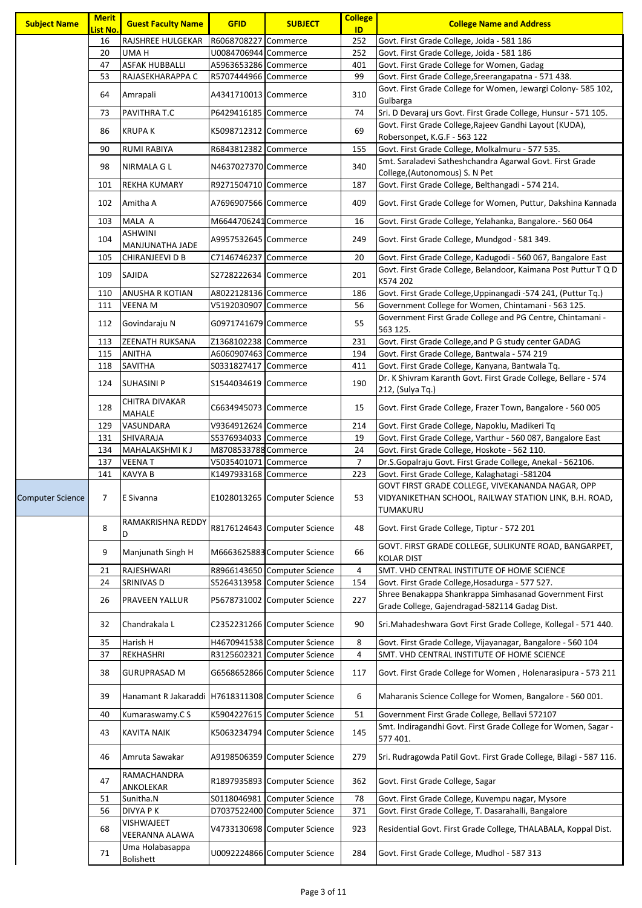| <b>Subject Name</b>     | <b>Merit</b><br><mark>List No.</mark> | <b>Guest Faculty Name</b>                         | <b>GFID</b>           | <b>SUBJECT</b>                                   | <b>College</b><br>ID | <b>College Name and Address</b>                                                                                        |
|-------------------------|---------------------------------------|---------------------------------------------------|-----------------------|--------------------------------------------------|----------------------|------------------------------------------------------------------------------------------------------------------------|
|                         | 16                                    | RAJSHREE HULGEKAR                                 | R6068708227 Commerce  |                                                  | 252                  | Govt. First Grade College, Joida - 581 186                                                                             |
|                         | 20                                    | UMA H                                             | U0084706944 Commerce  |                                                  | 252                  | Govt. First Grade College, Joida - 581 186                                                                             |
|                         | 47                                    | <b>ASFAK HUBBALLI</b>                             | A5963653286 Commerce  |                                                  | 401                  | Govt. First Grade College for Women, Gadag                                                                             |
|                         | 53                                    | RAJASEKHARAPPA C                                  |                       |                                                  | 99                   | Govt. First Grade College, Sreerangapatna - 571 438.                                                                   |
|                         |                                       |                                                   | R5707444966 Commerce  |                                                  |                      | Govt. First Grade College for Women, Jewargi Colony- 585 102,                                                          |
|                         | 64                                    | Amrapali                                          | A4341710013 Commerce  |                                                  | 310                  | Gulbarga                                                                                                               |
|                         | 73                                    | PAVITHRA T.C                                      | P6429416185 Commerce  |                                                  | 74                   | Sri. D Devaraj urs Govt. First Grade College, Hunsur - 571 105.                                                        |
|                         | 86                                    | <b>KRUPAK</b>                                     | K5098712312  Commerce |                                                  | 69                   | Govt. First Grade College, Rajeev Gandhi Layout (KUDA),                                                                |
|                         | 90                                    | <b>RUMI RABIYA</b>                                | R6843812382 Commerce  |                                                  | 155                  | Robersonpet, K.G.F - 563 122<br>Govt. First Grade College, Molkalmuru - 577 535.                                       |
|                         | 98                                    | NIRMALA G L                                       | N4637027370 Commerce  |                                                  | 340                  | Smt. Saraladevi Satheshchandra Agarwal Govt. First Grade<br>College, (Autonomous) S. N Pet                             |
|                         | 101                                   | <b>REKHA KUMARY</b>                               | R9271504710 Commerce  |                                                  | 187                  | Govt. First Grade College, Belthangadi - 574 214.                                                                      |
|                         | 102                                   | Amitha A                                          | A7696907566 Commerce  |                                                  | 409                  | Govt. First Grade College for Women, Puttur, Dakshina Kannada                                                          |
|                         | 103                                   | MALA A                                            | M6644706241 Commerce  |                                                  | 16                   | Govt. First Grade College, Yelahanka, Bangalore.- 560 064                                                              |
|                         | 104                                   | <b>ASHWINI</b><br>MANJUNATHA JADE                 | A9957532645 Commerce  |                                                  | 249                  | Govt. First Grade College, Mundgod - 581 349.                                                                          |
|                         | 105                                   | CHIRANJEEVI D B                                   | C7146746237           | Commerce                                         | 20                   | Govt. First Grade College, Kadugodi - 560 067, Bangalore East                                                          |
|                         | 109                                   | SAJIDA                                            | S2728222634 Commerce  |                                                  | 201                  | Govt. First Grade College, Belandoor, Kaimana Post Puttur T Q D<br>K574 202                                            |
|                         | 110                                   | <b>ANUSHA R KOTIAN</b>                            | A8022128136 Commerce  |                                                  | 186                  | Govt. First Grade College, Uppinangadi -574 241, (Puttur Tq.)                                                          |
|                         | 111                                   | <b>VEENA M</b>                                    | V5192030907 Commerce  |                                                  | 56                   | Government College for Women, Chintamani - 563 125.                                                                    |
|                         |                                       |                                                   |                       |                                                  |                      | Government First Grade College and PG Centre, Chintamani -                                                             |
|                         | 112                                   | Govindaraju N                                     | G0971741679 Commerce  |                                                  | 55                   | 563 125.                                                                                                               |
|                         | 113                                   | <b>ZEENATH RUKSANA</b>                            | Z1368102238 Commerce  |                                                  | 231                  | Govt. First Grade College, and P G study center GADAG                                                                  |
|                         | 115                                   | <b>ANITHA</b>                                     | A6060907463 Commerce  |                                                  | 194                  | Govt. First Grade College, Bantwala - 574 219                                                                          |
|                         | 118                                   | <b>SAVITHA</b>                                    | S0331827417 Commerce  |                                                  | 411                  | Govt. First Grade College, Kanyana, Bantwala Tq.                                                                       |
|                         | 124                                   | <b>SUHASINI P</b>                                 | S1544034619 Commerce  |                                                  | 190                  | Dr. K Shivram Karanth Govt. First Grade College, Bellare - 574<br>212, (Sulya Tq.)                                     |
|                         | 128                                   | <b>CHITRA DIVAKAR</b><br><b>MAHALE</b>            | C6634945073 Commerce  |                                                  | 15                   | Govt. First Grade College, Frazer Town, Bangalore - 560 005                                                            |
|                         | 129                                   | VASUNDARA                                         | V9364912624 Commerce  |                                                  | 214                  | Govt. First Grade College, Napoklu, Madikeri Tq                                                                        |
|                         | 131                                   | <b>SHIVARAJA</b>                                  | S5376934033 Commerce  |                                                  | 19                   | Govt. First Grade College, Varthur - 560 087, Bangalore East                                                           |
|                         | 134                                   | MAHALAKSHMI KJ                                    | M8708533788 Commerce  |                                                  | 24                   | Govt. First Grade College, Hoskote - 562 110.                                                                          |
|                         | 137                                   | <b>VEENAT</b>                                     | V5035401071 Commerce  |                                                  | 7                    | Dr.S.Gopalraju Govt. First Grade College, Anekal - 562106.                                                             |
|                         | 141                                   | <b>KAVYA B</b>                                    | K1497933168 Commerce  |                                                  | 223                  | Govt. First Grade College, Kalaghatagi -581204                                                                         |
| <b>Computer Science</b> |                                       | 7 E Sivanna                                       |                       | E1028013265 Computer Science                     | 53                   | GOVT FIRST GRADE COLLEGE, VIVEKANANDA NAGAR, OPP<br>VIDYANIKETHAN SCHOOL, RAILWAY STATION LINK, B.H. ROAD,<br>TUMAKURU |
|                         | 8                                     | RAMAKRISHNA REDDY<br>D                            |                       | R8176124643 Computer Science                     | 48                   | Govt. First Grade College, Tiptur - 572 201                                                                            |
|                         | 9                                     | Manjunath Singh H                                 |                       | M6663625883 Computer Science                     | 66                   | GOVT. FIRST GRADE COLLEGE, SULIKUNTE ROAD, BANGARPET,<br><b>KOLAR DIST</b>                                             |
|                         | 21                                    | RAJESHWARI                                        |                       | R8966143650 Computer Science                     | 4                    | SMT. VHD CENTRAL INSTITUTE OF HOME SCIENCE                                                                             |
|                         | 24                                    | SRINIVAS D                                        |                       | S5264313958 Computer Science                     | 154                  | Govt. First Grade College, Hosadurga - 577 527.                                                                        |
|                         | 26                                    | <b>PRAVEEN YALLUR</b>                             |                       | P5678731002 Computer Science                     | 227                  | Shree Benakappa Shankrappa Simhasanad Government First                                                                 |
|                         | 32                                    | Chandrakala L                                     |                       | C2352231266 Computer Science                     | 90                   | Grade College, Gajendragad-582114 Gadag Dist.<br>Sri.Mahadeshwara Govt First Grade College, Kollegal - 571 440.        |
|                         | 35                                    | Harish H                                          |                       | H4670941538 Computer Science                     | 8                    | Govt. First Grade College, Vijayanagar, Bangalore - 560 104                                                            |
|                         |                                       |                                                   |                       |                                                  |                      |                                                                                                                        |
|                         | 37<br>38                              | REKHASHRI<br><b>GURUPRASAD M</b>                  | R3125602321           | Computer Science<br>G6568652866 Computer Science | 4<br>117             | SMT. VHD CENTRAL INSTITUTE OF HOME SCIENCE<br>Govt. First Grade College for Women, Holenarasipura - 573 211            |
|                         | 39                                    | Hanamant R Jakaraddi H7618311308 Computer Science |                       |                                                  | 6                    | Maharanis Science College for Women, Bangalore - 560 001.                                                              |
|                         | 40                                    | Kumaraswamy.C S                                   |                       | K5904227615 Computer Science                     | 51                   | Government First Grade College, Bellavi 572107                                                                         |
|                         |                                       |                                                   |                       |                                                  |                      | Smt. Indiragandhi Govt. First Grade College for Women, Sagar -                                                         |
|                         | 43                                    | <b>KAVITA NAIK</b>                                |                       | K5063234794  Computer Science                    | 145                  | 577 401.                                                                                                               |
|                         | 46                                    | Amruta Sawakar                                    |                       | A9198506359 Computer Science                     | 279                  | Sri. Rudragowda Patil Govt. First Grade College, Bilagi - 587 116.                                                     |
|                         | 47                                    | RAMACHANDRA<br>ANKOLEKAR                          |                       | R1897935893 Computer Science                     | 362                  | Govt. First Grade College, Sagar                                                                                       |
|                         | 51                                    | Sunitha.N                                         | S0118046981           | <b>Computer Science</b>                          | 78                   | Govt. First Grade College, Kuvempu nagar, Mysore                                                                       |
|                         | 56                                    | DIVYA P K                                         |                       | D7037522400 Computer Science                     | 371                  | Govt. First Grade College, T. Dasarahalli, Bangalore                                                                   |
|                         | 68                                    | VISHWAJEET<br>VEERANNA ALAWA                      |                       | V4733130698 Computer Science                     | 923                  | Residential Govt. First Grade College, THALABALA, Koppal Dist.                                                         |
|                         | 71                                    | Uma Holabasappa<br><b>Bolishett</b>               |                       | U0092224866 Computer Science                     | 284                  | Govt. First Grade College, Mudhol - 587 313                                                                            |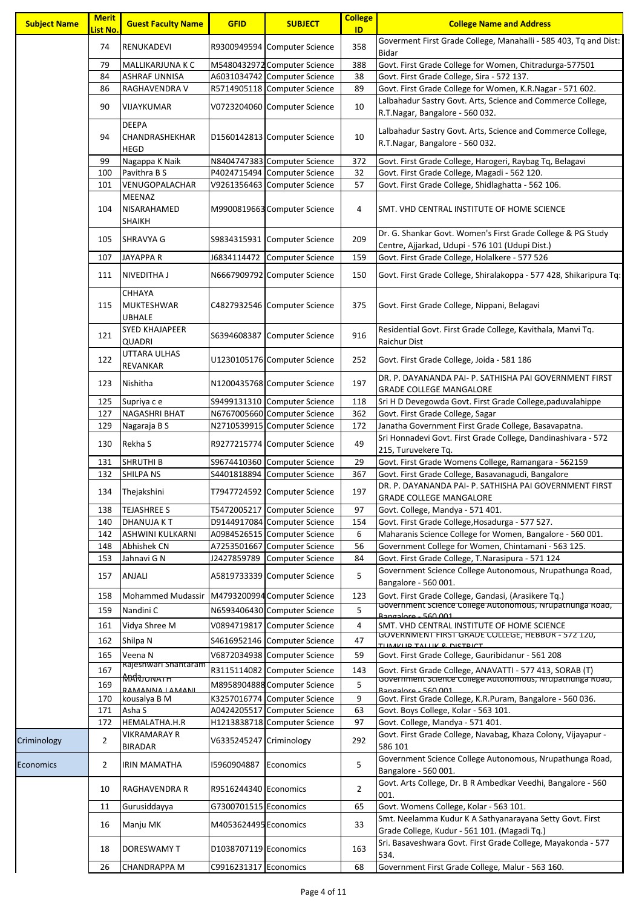| <b>Subject Name</b> | <b>Merit</b><br>List No. | <b>Guest Faculty Name</b>                      | <b>GFID</b>                | <b>SUBJECT</b>                              | <b>College</b><br>ID | <b>College Name and Address</b>                                                                                       |
|---------------------|--------------------------|------------------------------------------------|----------------------------|---------------------------------------------|----------------------|-----------------------------------------------------------------------------------------------------------------------|
|                     | 74                       | RENUKADEVI                                     |                            | R9300949594 Computer Science                | 358                  | Goverment First Grade College, Manahalli - 585 403, Tq and Dist:<br>Bidar                                             |
|                     | 79                       | MALLIKARJUNA K C                               |                            | M5480432972 Computer Science                | 388                  | Govt. First Grade College for Women, Chitradurga-577501                                                               |
|                     | 84                       | <b>ASHRAF UNNISA</b>                           |                            | A6031034742 Computer Science                | 38                   | Govt. First Grade College, Sira - 572 137.                                                                            |
|                     | 86                       | RAGHAVENDRA V                                  |                            | R5714905118 Computer Science                | 89                   | Govt. First Grade College for Women, K.R.Nagar - 571 602.                                                             |
|                     | 90                       | VIJAYKUMAR                                     |                            | V0723204060 Computer Science                | 10                   | Lalbahadur Sastry Govt. Arts, Science and Commerce College,<br>R.T.Nagar, Bangalore - 560 032.                        |
|                     | 94                       | <b>DEEPA</b><br>CHANDRASHEKHAR<br><b>HEGD</b>  |                            | D1560142813 Computer Science                | 10                   | Lalbahadur Sastry Govt. Arts, Science and Commerce College,<br>R.T.Nagar, Bangalore - 560 032.                        |
|                     | 99                       | Nagappa K Naik                                 |                            | N8404747383 Computer Science                | 372                  | Govt. First Grade College, Harogeri, Raybag Tq, Belagavi                                                              |
|                     | 100                      | Pavithra B S                                   |                            | P4024715494 Computer Science                | 32                   | Govt. First Grade College, Magadi - 562 120.                                                                          |
|                     | 101                      | VENUGOPALACHAR                                 |                            | V9261356463 Computer Science                | 57                   | Govt. First Grade College, Shidlaghatta - 562 106.                                                                    |
|                     | 104                      | MEENAZ<br>NISARAHAMED<br>SHAIKH                |                            | M9900819663 Computer Science                | 4                    | SMT. VHD CENTRAL INSTITUTE OF HOME SCIENCE                                                                            |
|                     | 105                      | <b>SHRAVYA G</b>                               |                            | S9834315931 Computer Science                | 209                  | Dr. G. Shankar Govt. Women's First Grade College & PG Study<br>Centre, Ajjarkad, Udupi - 576 101 (Udupi Dist.)        |
|                     | 107                      | <b>JAYAPPA R</b>                               | J6834114472                | <b>Computer Science</b>                     | 159                  | Govt. First Grade College, Holalkere - 577 526                                                                        |
|                     | 111                      | <b>NIVEDITHA J</b>                             |                            | N6667909792 Computer Science                | 150                  | Govt. First Grade College, Shiralakoppa - 577 428, Shikaripura Tq:                                                    |
|                     | 115                      | CHHAYA<br>MUKTESHWAR<br><b>UBHALE</b>          |                            | C4827932546 Computer Science                | 375                  | Govt. First Grade College, Nippani, Belagavi                                                                          |
|                     | 121                      | SYED KHAJAPEER<br>QUADRI                       |                            | S6394608387 Computer Science                | 916                  | Residential Govt. First Grade College, Kavithala, Manvi Tq.<br>Raichur Dist                                           |
|                     | 122                      | UTTARA ULHAS<br><b>REVANKAR</b>                |                            | U1230105176 Computer Science                | 252                  | Govt. First Grade College, Joida - 581 186                                                                            |
|                     | 123                      | Nishitha                                       |                            | N1200435768 Computer Science                | 197                  | DR. P. DAYANANDA PAI- P. SATHISHA PAI GOVERNMENT FIRST<br><b>GRADE COLLEGE MANGALORE</b>                              |
|                     | 125                      | Supriya c e                                    |                            | S9499131310 Computer Science                | 118                  | Sri H D Devegowda Govt. First Grade College, paduvalahippe                                                            |
|                     | 127                      | <b>NAGASHRI BHAT</b>                           |                            | N6767005660 Computer Science                | 362                  | Govt. First Grade College, Sagar                                                                                      |
|                     | 129                      | Nagaraja B S                                   |                            | N2710539915 Computer Science                | 172                  | Janatha Government First Grade College, Basavapatna.<br>Sri Honnadevi Govt. First Grade College, Dandinashivara - 572 |
|                     | 130                      | Rekha S                                        |                            | R9277215774 Computer Science                | 49                   | 215, Turuvekere Tq.                                                                                                   |
|                     | 131                      | <b>SHRUTHI B</b>                               | S9674410360                | Computer Science                            | 29                   | Govt. First Grade Womens College, Ramangara - 562159                                                                  |
|                     | 132                      | <b>SHILPANS</b>                                | S4401818894                | Computer Science                            | 367                  | Govt. First Grade College, Basavanagudi, Bangalore                                                                    |
|                     | 134                      | Thejakshini                                    |                            | T7947724592 Computer Science                | 197                  | DR. P. DAYANANDA PAI- P. SATHISHA PAI GOVERNMENT FIRST<br><b>GRADE COLLEGE MANGALORE</b>                              |
|                     | 138                      | <b>TEJASHREE S</b>                             | T5472005217                | Computer Science                            | 97                   | Govt. College, Mandya - 571 401.                                                                                      |
|                     | 140                      | <b>DHANUJA KT</b>                              | D9144917084                | Computer Science                            | 154                  | Govt. First Grade College, Hosadurga - 577 527.                                                                       |
|                     | 142                      | ASHWINI KULKARNI                               |                            | A0984526515 Computer Science                | 6                    | Maharanis Science College for Women, Bangalore - 560 001.                                                             |
|                     | 148<br>153               | Abhishek CN<br>Jahnavi G N                     | A7253501667<br>J2427859789 | Computer Science<br><b>Computer Science</b> | 56<br>84             | Government College for Women, Chintamani - 563 125.<br>Govt. First Grade College, T.Narasipura - 571 124              |
|                     |                          |                                                |                            |                                             |                      | Government Science College Autonomous, Nrupathunga Road,                                                              |
|                     | 157                      | ANJALI                                         |                            | A5819733339 Computer Science                | 5                    | Bangalore - 560 001.                                                                                                  |
|                     | 158                      | Mohammed Mudassir M4793200994 Computer Science |                            |                                             | 123                  | Govt. First Grade College, Gandasi, (Arasikere Tq.)                                                                   |
|                     | 159                      | Nandini C                                      |                            | N6593406430 Computer Science                | 5                    | Government Science College Autonomous, Ivrupathunga Road,<br>Bangalore - 560.001                                      |
|                     | 161                      | Vidya Shree M                                  | V0894719817                | Computer Science                            | 4                    | SMT. VHD CENTRAL INSTITUTE OF HOME SCIENCE                                                                            |
|                     | 162                      | Shilpa N                                       | S4616952146                | Computer Science                            | 47                   | GOVERNMENT FIRST GRADE COLLEGE, HEBBUR - 572 120,                                                                     |
|                     | 165                      | Veena N                                        |                            | V6872034938 Computer Science                | 59                   | <u>TIIMKIID TAIIIK 8. DICTDICT</u><br>Govt. First Grade College, Gauribidanur - 561 208                               |
|                     | 167                      | Rajeshwari Shantaram                           |                            | R3115114082 Computer Science                | 143                  | Govt. First Grade College, ANAVATTI - 577 413, SORAB (T)                                                              |
|                     | 169                      | <del>MAN או</del> סנ <b></b>                   |                            | M8958904888 Computer Science                | 5                    | Government Science College Autonomous, Ivrupathunga коаа,                                                             |
|                     | 170                      | RAMANNA LAMANI<br>kousalya B M                 | K3257016774                | Computer Science                            | 9                    | Rangalore - 560.001<br>Govt. First Grade College, K.R.Puram, Bangalore - 560 036.                                     |
|                     | 171                      | Asha S                                         | A0424205517                | Computer Science                            | 63                   | Govt. Boys College, Kolar - 563 101.                                                                                  |
|                     | 172                      | HEMALATHA.H.R                                  |                            | H1213838718 Computer Science                | 97                   | Govt. College, Mandya - 571 401.                                                                                      |
|                     |                          | VIKRAMARAY R                                   |                            |                                             |                      | Govt. First Grade College, Navabag, Khaza Colony, Vijayapur -                                                         |
| Criminology         | $\overline{2}$           | <b>BIRADAR</b>                                 | V6335245247 Criminology    |                                             | 292                  | 586 101                                                                                                               |
| Economics           | $\overline{2}$           | IRIN MAMATHA                                   | 15960904887                | Economics                                   | 5                    | Government Science College Autonomous, Nrupathunga Road,<br>Bangalore - 560 001.                                      |
|                     | 10                       | <b>RAGHAVENDRA R</b>                           | R9516244340 Economics      |                                             | $\overline{2}$       | Govt. Arts College, Dr. B R Ambedkar Veedhi, Bangalore - 560<br>001.                                                  |
|                     | 11                       | Gurusiddayya                                   | G7300701515 Economics      |                                             | 65                   | Govt. Womens College, Kolar - 563 101.                                                                                |
|                     | 16                       | Manju MK                                       | M4053624495 Economics      |                                             | 33                   | Smt. Neelamma Kudur K A Sathyanarayana Setty Govt. First<br>Grade College, Kudur - 561 101. (Magadi Tq.)              |
|                     | 18                       | DORESWAMY T                                    | D1038707119 Economics      |                                             | 163                  | Sri. Basaveshwara Govt. First Grade College, Mayakonda - 577<br>534.                                                  |
|                     | 26                       | CHANDRAPPA M                                   | C9916231317 Economics      |                                             | 68                   | Government First Grade College, Malur - 563 160.                                                                      |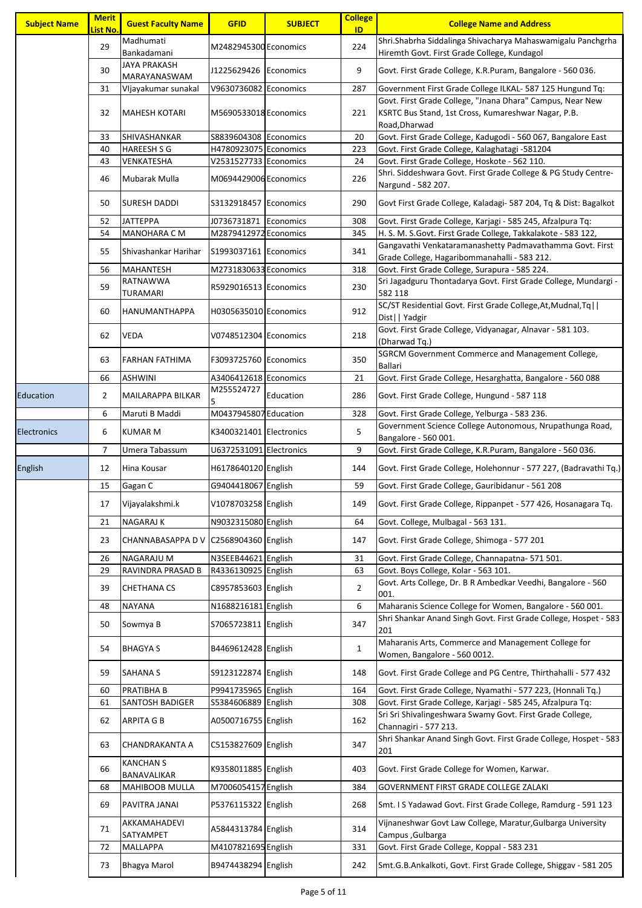| <b>Subject Name</b> | <b>Merit</b><br><mark>List No</mark> . | <b>Guest Faculty Name</b>       | <b>GFID</b>             | <b>SUBJECT</b> | <b>College</b><br>ID | <b>College Name and Address</b>                                                                            |
|---------------------|----------------------------------------|---------------------------------|-------------------------|----------------|----------------------|------------------------------------------------------------------------------------------------------------|
|                     | 29                                     | Madhumati<br>Bankadamani        | M2482945300 Economics   |                | 224                  | Shri.Shabrha Siddalinga Shivacharya Mahaswamigalu Panchgrha<br>Hiremth Govt. First Grade College, Kundagol |
|                     | 30                                     | JAYA PRAKASH<br>MARAYANASWAM    | J1225629426 Economics   |                | 9                    | Govt. First Grade College, K.R.Puram, Bangalore - 560 036.                                                 |
|                     | 31                                     | Vljayakumar sunakal             | V9630736082 Economics   |                | 287                  | Government First Grade College ILKAL- 587 125 Hungund Tq:                                                  |
|                     |                                        |                                 |                         |                |                      | Govt. First Grade College, "Jnana Dhara" Campus, Near New                                                  |
|                     | 32                                     | <b>MAHESH KOTARI</b>            | M5690533018 Economics   |                | 221                  | KSRTC Bus Stand, 1st Cross, Kumareshwar Nagar, P.B.<br>Road, Dharwad                                       |
|                     | 33                                     | SHIVASHANKAR                    | S8839604308 Economics   |                | 20                   | Govt. First Grade College, Kadugodi - 560 067, Bangalore East                                              |
|                     | 40                                     | <b>HAREESH S G</b>              | H4780923075 Economics   |                | 223                  | Govt. First Grade College, Kalaghatagi -581204                                                             |
|                     | 43                                     | VENKATESHA                      | V2531527733 Economics   |                | 24                   | Govt. First Grade College, Hoskote - 562 110.                                                              |
|                     | 46                                     | Mubarak Mulla                   | M0694429006 Economics   |                | 226                  | Shri. Siddeshwara Govt. First Grade College & PG Study Centre-<br>Nargund - 582 207.                       |
|                     | 50                                     | SURESH DADDI                    | S3132918457 Economics   |                | 290                  | Govt First Grade College, Kaladagi- 587 204, Tq & Dist: Bagalkot                                           |
|                     | 52                                     | <b>JATTEPPA</b>                 | J0736731871 Economics   |                | 308                  | Govt. First Grade College, Karjagi - 585 245, Afzalpura Tq:                                                |
|                     | 54                                     | <b>MANOHARA C M</b>             | M2879412972 Economics   |                | 345                  | H. S. M. S. Govt. First Grade College, Takkalakote - 583 122,                                              |
|                     | 55                                     | Shivashankar Harihar            | S1993037161 Economics   |                | 341                  | Gangavathi Venkataramanashetty Padmavathamma Govt. First<br>Grade College, Hagaribommanahalli - 583 212.   |
|                     | 56                                     | <b>MAHANTESH</b>                | M2731830633 Economics   |                | 318                  | Govt. First Grade College, Surapura - 585 224.                                                             |
|                     | 59                                     | RATNAWWA<br>TURAMARI            | R5929016513 Economics   |                | 230                  | Sri Jagadguru Thontadarya Govt. First Grade College, Mundargi -<br>582 118                                 |
|                     | 60                                     | HANUMANTHAPPA                   | H0305635010 Economics   |                | 912                  | SC/ST Residential Govt. First Grade College, At, Mudnal, Tq  <br>Dist     Yadgir                           |
|                     | 62                                     | <b>VEDA</b>                     | V0748512304 Economics   |                | 218                  | Govt. First Grade College, Vidyanagar, Alnavar - 581 103.<br>(Dharwad Tq.)                                 |
|                     | 63                                     | <b>FARHAN FATHIMA</b>           | F3093725760 Economics   |                | 350                  | SGRCM Government Commerce and Management College,<br><b>Ballari</b>                                        |
|                     | 66                                     | <b>ASHWINI</b>                  | A3406412618 Economics   |                | 21                   | Govt. First Grade College, Hesarghatta, Bangalore - 560 088                                                |
| Education           | $\overline{2}$                         | MAILARAPPA BILKAR               | M255524727              | Education      | 286                  | Govt. First Grade College, Hungund - 587 118                                                               |
|                     | 6                                      | Maruti B Maddi                  | M0437945807 Education   |                | 328                  | Govt. First Grade College, Yelburga - 583 236.                                                             |
| <b>Electronics</b>  | 6                                      | <b>KUMAR M</b>                  | K3400321401 Electronics |                | 5                    | Government Science College Autonomous, Nrupathunga Road,<br>Bangalore - 560 001.                           |
|                     | 7                                      | Umera Tabassum                  | U6372531091 Electronics |                | 9                    | Govt. First Grade College, K.R.Puram, Bangalore - 560 036.                                                 |
| English             | 12                                     | Hina Kousar                     | H6178640120 English     |                | 144                  | Govt. First Grade College, Holehonnur - 577 227, (Badravathi Tq.)                                          |
|                     | 15                                     | Gagan C                         | G9404418067 English     |                | 59                   | Govt. First Grade College, Gauribidanur - 561 208                                                          |
|                     | 17                                     | Vijayalakshmi.k                 | V1078703258 English     |                | 149                  | Govt. First Grade College, Rippanpet - 577 426, Hosanagara Tq.                                             |
|                     | 21                                     | <b>NAGARAJ K</b>                | N9032315080 English     |                | 64                   | Govt. College, Mulbagal - 563 131.                                                                         |
|                     | 23                                     | CHANNABASAPPA D V               | C2568904360 English     |                | 147                  | Govt. First Grade College, Shimoga - 577 201                                                               |
|                     | 26                                     | <b>NAGARAJU M</b>               | N3SEEB44621 English     |                | 31                   | Govt. First Grade College, Channapatna- 571 501.                                                           |
|                     | 29                                     | RAVINDRA PRASAD B               | R4336130925 English     |                | 63                   | Govt. Boys College, Kolar - 563 101.                                                                       |
|                     | 39                                     | <b>CHETHANA CS</b>              | C8957853603 English     |                | $\overline{2}$       | Govt. Arts College, Dr. B R Ambedkar Veedhi, Bangalore - 560<br>001.                                       |
|                     | 48                                     | <b>NAYANA</b>                   | N1688216181 English     |                | 6                    | Maharanis Science College for Women, Bangalore - 560 001.                                                  |
|                     | 50                                     | Sowmya B                        | S7065723811 English     |                | 347                  | Shri Shankar Anand Singh Govt. First Grade College, Hospet - 583<br>201                                    |
|                     | 54                                     | <b>BHAGYA S</b>                 | B4469612428 English     |                | $\mathbf{1}$         | Maharanis Arts, Commerce and Management College for<br>Women, Bangalore - 560 0012.                        |
|                     | 59                                     | <b>SAHANA S</b>                 | S9123122874 English     |                | 148                  | Govt. First Grade College and PG Centre, Thirthahalli - 577 432                                            |
|                     | 60                                     | PRATIBHA B                      | P9941735965 English     |                | 164                  | Govt. First Grade College, Nyamathi - 577 223, (Honnali Tq.)                                               |
|                     | 61                                     | <b>SANTOSH BADIGER</b>          | S5384606889 English     |                | 308                  | Govt. First Grade College, Karjagi - 585 245, Afzalpura Tq:                                                |
|                     | 62                                     | <b>ARPITA G B</b>               | A0500716755 English     |                | 162                  | Sri Sri Shivalingeshwara Swamy Govt. First Grade College,<br>Channagiri - 577 213.                         |
|                     | 63                                     | CHANDRAKANTA A                  | C5153827609 English     |                | 347                  | Shri Shankar Anand Singh Govt. First Grade College, Hospet - 583<br>201                                    |
|                     | 66                                     | <b>KANCHAN S</b><br>BANAVALIKAR | K9358011885 English     |                | 403                  | Govt. First Grade College for Women, Karwar.                                                               |
|                     | 68                                     | <b>MAHIBOOB MULLA</b>           | M7006054157 English     |                | 384                  | GOVERNMENT FIRST GRADE COLLEGE ZALAKI                                                                      |
|                     | 69                                     | PAVITRA JANAI                   | P5376115322 English     |                | 268                  | Smt. I S Yadawad Govt. First Grade College, Ramdurg - 591 123                                              |
|                     | 71                                     | AKKAMAHADEVI<br>SATYAMPET       | A5844313784 English     |                | 314                  | Vijnaneshwar Govt Law College, Maratur, Gulbarga University<br>Campus, Gulbarga                            |
|                     | 72                                     | MALLAPPA                        | M4107821695 English     |                | 331                  | Govt. First Grade College, Koppal - 583 231                                                                |
|                     | 73                                     | Bhagya Marol                    | B9474438294 English     |                | 242                  | Smt.G.B.Ankalkoti, Govt. First Grade College, Shiggav - 581 205                                            |
|                     |                                        |                                 |                         |                |                      |                                                                                                            |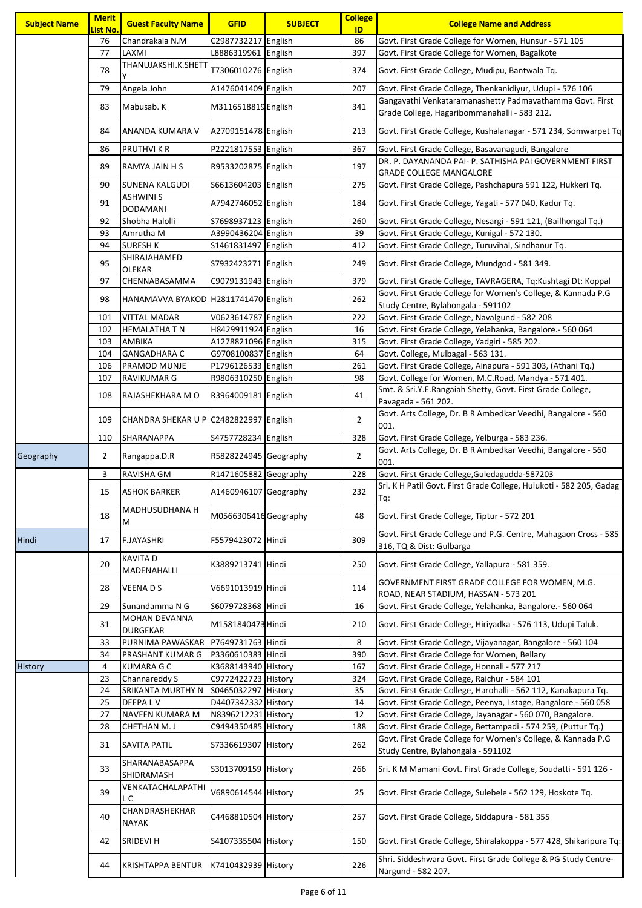| <b>Subject Name</b> | <b>Merit</b><br><b>List No.</b> | <b>Guest Faculty Name</b>               | <b>GFID</b>           | <b>SUBJECT</b> | <b>College</b><br>ID | <b>College Name and Address</b>                                                                          |
|---------------------|---------------------------------|-----------------------------------------|-----------------------|----------------|----------------------|----------------------------------------------------------------------------------------------------------|
|                     | 76                              | Chandrakala N.M                         | C2987732217 English   |                | 86                   | Govt. First Grade College for Women, Hunsur - 571 105                                                    |
|                     | 77                              | LAXMI                                   | L8886319961 English   |                | 397                  | Govt. First Grade College for Women, Bagalkote                                                           |
|                     | 78                              | THANUJAKSHI.K.SHETT                     | T7306010276 English   |                | 374                  | Govt. First Grade College, Mudipu, Bantwala Tq.                                                          |
|                     | 79                              | Angela John                             | A1476041409 English   |                | 207                  | Govt. First Grade College, Thenkanidiyur, Udupi - 576 106                                                |
|                     | 83                              | Mabusab. K                              | M3116518819 English   |                | 341                  | Gangavathi Venkataramanashetty Padmavathamma Govt. First<br>Grade College, Hagaribommanahalli - 583 212. |
|                     | 84                              | ANANDA KUMARA V                         | A2709151478 English   |                | 213                  | Govt. First Grade College, Kushalanagar - 571 234, Somwarpet Tq                                          |
|                     | 86                              | <b>PRUTHVI K R</b>                      | P2221817553 English   |                | 367                  | Govt. First Grade College, Basavanagudi, Bangalore                                                       |
|                     | 89                              | RAMYA JAIN H S                          | R9533202875 English   |                | 197                  | DR. P. DAYANANDA PAI- P. SATHISHA PAI GOVERNMENT FIRST<br><b>GRADE COLLEGE MANGALORE</b>                 |
|                     | 90                              | <b>SUNENA KALGUDI</b>                   | S6613604203 English   |                | 275                  | Govt. First Grade College, Pashchapura 591 122, Hukkeri Tq.                                              |
|                     | 91                              | <b>ASHWINI S</b><br><b>DODAMANI</b>     | A7942746052 English   |                | 184                  | Govt. First Grade College, Yagati - 577 040, Kadur Tq.                                                   |
|                     | 92                              | Shobha Halolli                          | S7698937123 English   |                | 260                  | Govt. First Grade College, Nesargi - 591 121, (Bailhongal Tq.)                                           |
|                     | 93                              | Amrutha M                               | A3990436204 English   |                | 39                   | Govt. First Grade College, Kunigal - 572 130.                                                            |
|                     | 94                              | <b>SURESH K</b>                         | S1461831497 English   |                | 412                  | Govt. First Grade College, Turuvihal, Sindhanur Tq.                                                      |
|                     | 95                              | SHIRAJAHAMED<br><b>OLEKAR</b>           | S7932423271   English |                | 249                  | Govt. First Grade College, Mundgod - 581 349.                                                            |
|                     | 97                              | CHENNABASAMMA                           | C9079131943 English   |                | 379                  | Govt. First Grade College, TAVRAGERA, Tq:Kushtagi Dt: Koppal                                             |
|                     | 98                              | HANAMAVVA BYAKOD H2811741470 English    |                       |                | 262                  | Govt. First Grade College for Women's College, & Kannada P.G<br>Study Centre, Bylahongala - 591102       |
|                     | 101                             | <b>VITTAL MADAR</b>                     | V0623614787 English   |                | 222                  | Govt. First Grade College, Navalgund - 582 208                                                           |
|                     | 102                             | <b>HEMALATHA T N</b>                    | H8429911924 English   |                | 16                   | Govt. First Grade College, Yelahanka, Bangalore.- 560 064                                                |
|                     | 103                             | AMBIKA                                  | A1278821096 English   |                | 315                  | Govt. First Grade College, Yadgiri - 585 202.                                                            |
|                     | 104                             | <b>GANGADHARA C</b>                     | G9708100837 English   |                | 64                   | Govt. College, Mulbagal - 563 131.                                                                       |
|                     | 106                             | PRAMOD MUNJE                            | P1796126533 English   |                | 261                  | Govt. First Grade College, Ainapura - 591 303, (Athani Tq.)                                              |
|                     | 107                             | <b>RAVIKUMAR G</b>                      | R9806310250 English   |                | 98                   | Govt. College for Women, M.C.Road, Mandya - 571 401.                                                     |
|                     | 108                             | RAJASHEKHARA M O                        | R3964009181 English   |                | 41                   | Smt. & Sri.Y.E.Rangaiah Shetty, Govt. First Grade College,<br>Pavagada - 561 202.                        |
|                     | 109                             | CHANDRA SHEKAR U P C2482822997 English  |                       |                | $\overline{2}$       | Govt. Arts College, Dr. B R Ambedkar Veedhi, Bangalore - 560<br>001.                                     |
|                     | 110                             | SHARANAPPA                              | S4757728234 English   |                | 328                  | Govt. First Grade College, Yelburga - 583 236.                                                           |
| Geography           | $\overline{2}$                  | Rangappa.D.R                            | R5828224945 Geography |                | $\overline{2}$       | Govt. Arts College, Dr. B R Ambedkar Veedhi, Bangalore - 560<br>001.                                     |
|                     | 3                               | <b>RAVISHA GM</b>                       | R1471605882 Geography |                | 228                  | Govt. First Grade College, Guledagudda-587203                                                            |
|                     | 15                              | <b>ASHOK BARKER</b>                     | A1460946107 Geography |                | 232                  | Sri. K H Patil Govt. First Grade College, Hulukoti - 582 205, Gadag<br>Tq:                               |
|                     | 18                              | MADHUSUDHANA H<br>M                     | M0566306416 Geography |                | 48                   | Govt. First Grade College, Tiptur - 572 201                                                              |
| Hindi               | 17                              | <b>F.JAYASHRI</b>                       | F5579423072 Hindi     |                | 309                  | Govt. First Grade College and P.G. Centre, Mahagaon Cross - 585<br>316, TQ & Dist: Gulbarga              |
|                     | 20                              | <b>KAVITAD</b><br>MADENAHALLI           | K3889213741  Hindi    |                | 250                  | Govt. First Grade College, Yallapura - 581 359.                                                          |
|                     | 28                              | <b>VEENADS</b>                          | V6691013919 Hindi     |                | 114                  | GOVERNMENT FIRST GRADE COLLEGE FOR WOMEN, M.G.<br>ROAD, NEAR STADIUM, HASSAN - 573 201                   |
|                     | 29                              | Sunandamma N G                          | S6079728368 Hindi     |                | 16                   | Govt. First Grade College, Yelahanka, Bangalore.- 560 064                                                |
|                     | 31                              | <b>MOHAN DEVANNA</b><br><b>DURGEKAR</b> | M1581840473 Hindi     |                | 210                  | Govt. First Grade College, Hiriyadka - 576 113, Udupi Taluk.                                             |
|                     | 33                              | PURNIMA PAWASKAR                        | P7649731763 Hindi     |                | 8                    | Govt. First Grade College, Vijayanagar, Bangalore - 560 104                                              |
|                     | 34                              | PRASHANT KUMAR G                        | P3360610383 Hindi     |                | 390                  | Govt. First Grade College for Women, Bellary                                                             |
| History             | 4                               | <b>KUMARA G C</b>                       | K3688143940 History   |                | 167                  | Govt. First Grade College, Honnali - 577 217                                                             |
|                     | 23                              | Channareddy S                           | C9772422723 History   |                | 324                  | Govt. First Grade College, Raichur - 584 101                                                             |
|                     | 24                              | SRIKANTA MURTHY N                       | S0465032297 History   |                | 35                   | Govt. First Grade College, Harohalli - 562 112, Kanakapura Tq.                                           |
|                     | 25                              | DEEPALV                                 | D4407342332 History   |                | 14                   | Govt. First Grade College, Peenya, I stage, Bangalore - 560 058                                          |
|                     | 27                              | NAVEEN KUMARA M                         | N8396212231 History   |                | 12                   | Govt. First Grade College, Jayanagar - 560 070, Bangalore.                                               |
|                     | 28                              | <b>CHETHAN M.J</b>                      | C9494350485 History   |                | 188                  | Govt. First Grade College, Bettampadi - 574 259, (Puttur Tq.)                                            |
|                     | 31                              | <b>SAVITA PATIL</b>                     | S7336619307 History   |                | 262                  | Govt. First Grade College for Women's College, & Kannada P.G<br>Study Centre, Bylahongala - 591102       |
|                     | 33                              | SHARANABASAPPA<br>SHIDRAMASH            | S3013709159 History   |                | 266                  | Sri. K M Mamani Govt. First Grade College, Soudatti - 591 126 -                                          |
|                     | 39                              | VENKATACHALAPATHI<br>L C                | V6890614544 History   |                | 25                   | Govt. First Grade College, Sulebele - 562 129, Hoskote Tq.                                               |
|                     | 40                              | CHANDRASHEKHAR<br><b>NAYAK</b>          | C4468810504 History   |                | 257                  | Govt. First Grade College, Siddapura - 581 355                                                           |
|                     | 42                              | <b>SRIDEVI H</b>                        | S4107335504 History   |                | 150                  | Govt. First Grade College, Shiralakoppa - 577 428, Shikaripura Tq:                                       |
|                     | 44                              | <b>KRISHTAPPA BENTUR</b>                | K7410432939 History   |                | 226                  | Shri. Siddeshwara Govt. First Grade College & PG Study Centre-<br>Nargund - 582 207.                     |
|                     |                                 |                                         |                       |                |                      |                                                                                                          |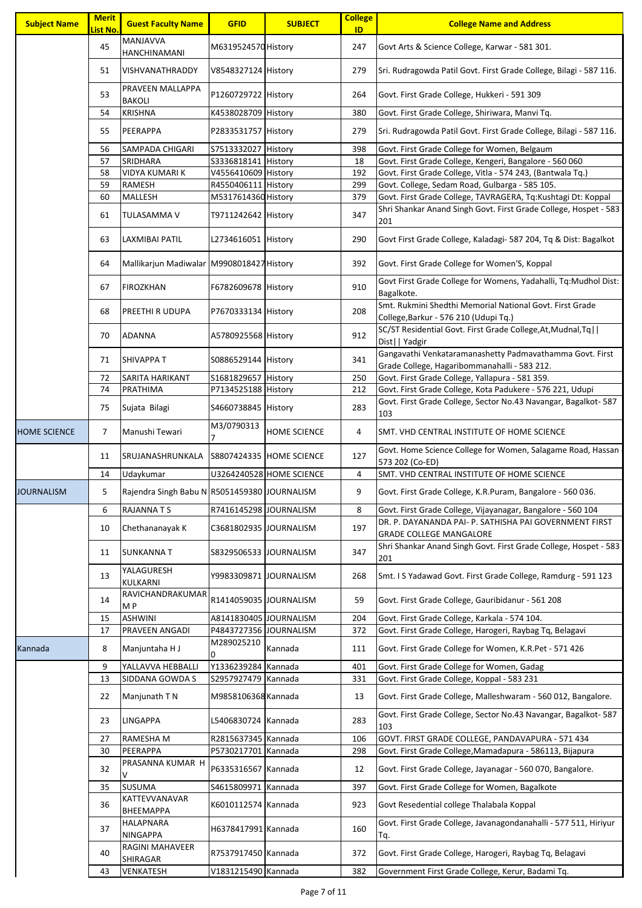| <b>Subject Name</b> | <b>Merit</b><br>List No. | <b>Guest Faculty Name</b>                    | <b>GFID</b>             | <b>SUBJECT</b>                  | <b>College</b><br>ID | <b>College Name and Address</b>                                                                          |
|---------------------|--------------------------|----------------------------------------------|-------------------------|---------------------------------|----------------------|----------------------------------------------------------------------------------------------------------|
|                     | 45                       | <b>MANJAVVA</b><br><b>HANCHINAMANI</b>       | M6319524570 History     |                                 | 247                  | Govt Arts & Science College, Karwar - 581 301.                                                           |
|                     | 51                       | VISHVANATHRADDY                              | V8548327124 History     |                                 | 279                  | Sri. Rudragowda Patil Govt. First Grade College, Bilagi - 587 116.                                       |
|                     | 53                       | PRAVEEN MALLAPPA<br><b>BAKOLI</b>            | P1260729722 History     |                                 | 264                  | Govt. First Grade College, Hukkeri - 591 309                                                             |
|                     | 54                       | <b>KRISHNA</b>                               | K4538028709 History     |                                 | 380                  | Govt. First Grade College, Shiriwara, Manvi Tq.                                                          |
|                     | 55                       | <b>PEERAPPA</b>                              | P2833531757 History     |                                 | 279                  | Sri. Rudragowda Patil Govt. First Grade College, Bilagi - 587 116.                                       |
|                     | 56                       | SAMPADA CHIGARI                              | S7513332027 History     |                                 | 398                  | Govt. First Grade College for Women, Belgaum                                                             |
|                     | 57                       | SRIDHARA                                     | S3336818141 History     |                                 | 18                   | Govt. First Grade College, Kengeri, Bangalore - 560 060                                                  |
|                     | 58                       | <b>VIDYA KUMARI K</b>                        | V4556410609 History     |                                 | 192                  | Govt. First Grade College, Vitla - 574 243, (Bantwala Tq.)                                               |
|                     | 59                       | <b>RAMESH</b>                                | R4550406111 History     |                                 | 299                  | Govt. College, Sedam Road, Gulbarga - 585 105.                                                           |
|                     | 60                       | MALLESH                                      | M5317614360 History     |                                 | 379                  | Govt. First Grade College, TAVRAGERA, Tq:Kushtagi Dt: Koppal                                             |
|                     | 61                       | TULASAMMA V                                  | T9711242642 History     |                                 | 347                  | Shri Shankar Anand Singh Govt. First Grade College, Hospet - 583<br>201                                  |
|                     | 63                       | <b>LAXMIBAI PATIL</b>                        | L2734616051 History     |                                 | 290                  | Govt First Grade College, Kaladagi- 587 204, Tq & Dist: Bagalkot                                         |
|                     | 64                       | Mallikarjun Madiwalar M9908018427 History    |                         |                                 | 392                  | Govt. First Grade College for Women'S, Koppal                                                            |
|                     | 67                       | <b>FIROZKHAN</b>                             | F6782609678 History     |                                 | 910                  | Govt First Grade College for Womens, Yadahalli, Tq:Mudhol Dist:<br>Bagalkote.                            |
|                     | 68                       | PREETHI R UDUPA                              | P7670333134 History     |                                 | 208                  | Smt. Rukmini Shedthi Memorial National Govt. First Grade<br>College, Barkur - 576 210 (Udupi Tq.)        |
|                     | 70                       | <b>ADANNA</b>                                | A5780925568 History     |                                 | 912                  | SC/ST Residential Govt. First Grade College, At, Mudnal, Tq <br>Dist     Yadgir                          |
|                     | 71                       | <b>SHIVAPPA T</b>                            | S0886529144 History     |                                 | 341                  | Gangavathi Venkataramanashetty Padmavathamma Govt. First<br>Grade College, Hagaribommanahalli - 583 212. |
|                     | 72                       | SARITA HARIKANT                              | S1681829657 History     |                                 | 250                  | Govt. First Grade College, Yallapura - 581 359.                                                          |
|                     | 74                       | PRATHIMA                                     | P7134525188 History     |                                 | 212                  | Govt. First Grade College, Kota Padukere - 576 221, Udupi                                                |
|                     | 75                       | Sujata Bilagi                                | S4660738845 History     |                                 | 283                  | Govt. First Grade College, Sector No.43 Navangar, Bagalkot- 587<br>103                                   |
| <b>HOME SCIENCE</b> | 7                        | Manushi Tewari                               | M3/0790313              | <b>HOME SCIENCE</b>             | 4                    | SMT. VHD CENTRAL INSTITUTE OF HOME SCIENCE                                                               |
|                     | 11                       | SRUJANASHRUNKALA                             |                         | <b>S8807424335 HOME SCIENCE</b> | 127                  | Govt. Home Science College for Women, Salagame Road, Hassan<br>573 202 (Co-ED)                           |
|                     | 14                       | Udaykumar                                    |                         | U3264240528 HOME SCIENCE        | 4                    | SMT. VHD CENTRAL INSTITUTE OF HOME SCIENCE                                                               |
| <b>JOURNALISM</b>   | 5                        | Rajendra Singh Babu N R5051459380 JOURNALISM |                         |                                 | 9                    | Govt. First Grade College, K.R.Puram, Bangalore - 560 036.                                               |
|                     | 6                        | <b>RAJANNATS</b>                             | R7416145298 JOURNALISM  |                                 | 8                    | Govt. First Grade College, Vijayanagar, Bangalore - 560 104                                              |
|                     | 10                       | Chethananayak K                              | C3681802935 JOURNALISM  |                                 | 197                  | DR. P. DAYANANDA PAI- P. SATHISHA PAI GOVERNMENT FIRST<br><b>GRADE COLLEGE MANGALORE</b>                 |
|                     | 11                       | <b>SUNKANNAT</b>                             | S8329506533 JOURNALISM  |                                 | 347                  | Shri Shankar Anand Singh Govt. First Grade College, Hospet - 583<br>201                                  |
|                     | 13                       | YALAGURESH<br>KULKARNI                       | Y9983309871  JOURNALISM |                                 | 268                  | Smt. I S Yadawad Govt. First Grade College, Ramdurg - 591 123                                            |
|                     | 14                       | RAVICHANDRAKUMAR<br>M <sub>P</sub>           | R1414059035 JOURNALISM  |                                 | 59                   | Govt. First Grade College, Gauribidanur - 561 208                                                        |
|                     | 15                       | <b>ASHWINI</b>                               | A8141830405 JOURNALISM  |                                 | 204                  | Govt. First Grade College, Karkala - 574 104.                                                            |
|                     | 17                       | PRAVEEN ANGADI                               | P4843727356 JOURNALISM  |                                 | 372                  | Govt. First Grade College, Harogeri, Raybag Tq, Belagavi                                                 |
| Kannada             | 8                        | Manjuntaha H J                               | M289025210<br>0         | Kannada                         | 111                  | Govt. First Grade College for Women, K.R.Pet - 571 426                                                   |
|                     | 9                        | YALLAVVA HEBBALLI                            | Y1336239284 Kannada     |                                 | 401                  | Govt. First Grade College for Women, Gadag                                                               |
|                     | 13                       | SIDDANA GOWDA S                              | S2957927479 Kannada     |                                 | 331                  | Govt. First Grade College, Koppal - 583 231                                                              |
|                     | 22                       | Manjunath T N                                | M9858106368 Kannada     |                                 | 13                   | Govt. First Grade College, Malleshwaram - 560 012, Bangalore.                                            |
|                     | 23                       | <b>LINGAPPA</b>                              | L5406830724 Kannada     |                                 | 283                  | Govt. First Grade College, Sector No.43 Navangar, Bagalkot-587<br>103                                    |
|                     | 27                       | RAMESHA M                                    | R2815637345 Kannada     |                                 | 106                  | GOVT. FIRST GRADE COLLEGE, PANDAVAPURA - 571 434                                                         |
|                     | 30                       | <b>PEERAPPA</b>                              | P5730217701 Kannada     |                                 | 298                  | Govt. First Grade College, Mamadapura - 586113, Bijapura                                                 |
|                     | 32                       | PRASANNA KUMAR H<br>V                        | P6335316567 Kannada     |                                 | 12                   | Govt. First Grade College, Jayanagar - 560 070, Bangalore.                                               |
|                     | 35                       | <b>SUSUMA</b>                                | S4615809971 Kannada     |                                 | 397                  | Govt. First Grade College for Women, Bagalkote                                                           |
|                     | 36                       | KATTEVVANAVAR<br><b>ВНЕЕМАРРА</b>            | K6010112574 Kannada     |                                 | 923                  | Govt Resedential college Thalabala Koppal                                                                |
|                     | 37                       | <b>HALAPNARA</b><br><b>NINGAPPA</b>          | H6378417991 Kannada     |                                 | 160                  | Govt. First Grade College, Javanagondanahalli - 577 511, Hiriyur<br>Tq.                                  |
|                     | 40                       | <b>RAGINI MAHAVEER</b><br>SHIRAGAR           | R7537917450 Kannada     |                                 | 372                  | Govt. First Grade College, Harogeri, Raybag Tq, Belagavi                                                 |
|                     | 43                       | <b>VENKATESH</b>                             | V1831215490 Kannada     |                                 | 382                  | Government First Grade College, Kerur, Badami Tg.                                                        |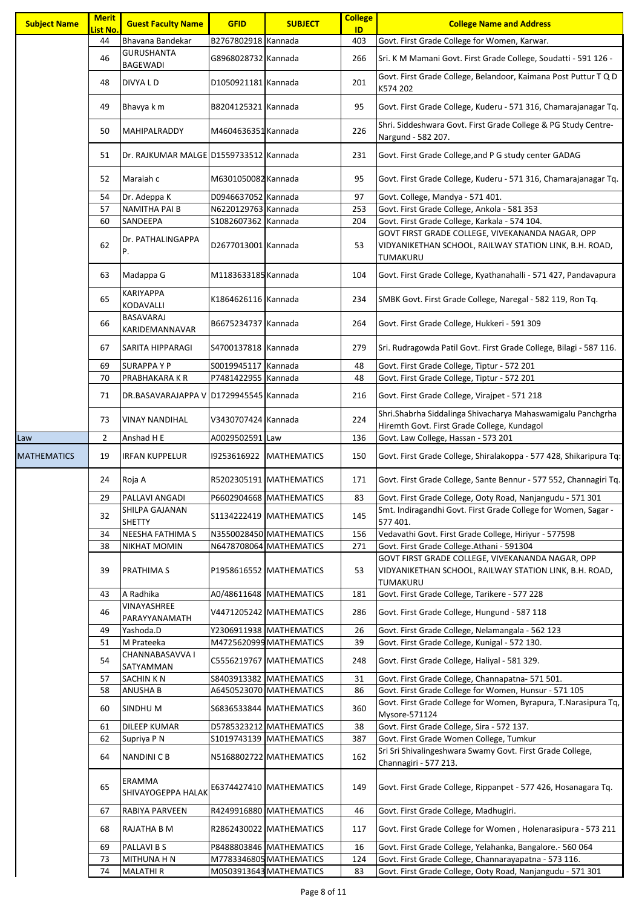| <b>Subject Name</b> | <b>Merit</b><br>List No. | <b>Guest Faculty Name</b>              | <b>GFID</b>         | <b>SUBJECT</b>            | <b>College</b><br>ID | <b>College Name and Address</b>                                                                                        |
|---------------------|--------------------------|----------------------------------------|---------------------|---------------------------|----------------------|------------------------------------------------------------------------------------------------------------------------|
|                     | 44                       | Bhavana Bandekar                       | B2767802918 Kannada |                           | 403                  | Govt. First Grade College for Women, Karwar.                                                                           |
|                     | 46                       | <b>GURUSHANTA</b><br><b>BAGEWADI</b>   | G8968028732 Kannada |                           | 266                  | Sri. K M Mamani Govt. First Grade College, Soudatti - 591 126 -                                                        |
|                     | 48                       | DIVYA L D                              | D1050921181 Kannada |                           | 201                  | Govt. First Grade College, Belandoor, Kaimana Post Puttur T Q D<br>K574 202                                            |
|                     | 49                       | Bhavya k m                             | B8204125321 Kannada |                           | 95                   | Govt. First Grade College, Kuderu - 571 316, Chamarajanagar Tq.                                                        |
|                     | 50                       | MAHIPALRADDY                           | M4604636351 Kannada |                           | 226                  | Shri. Siddeshwara Govt. First Grade College & PG Study Centre-<br>Nargund - 582 207.                                   |
|                     | 51                       | Dr. RAJKUMAR MALGE D1559733512 Kannada |                     |                           | 231                  | Govt. First Grade College, and P G study center GADAG                                                                  |
|                     | 52                       | Maraiah c                              | M6301050082 Kannada |                           | 95                   | Govt. First Grade College, Kuderu - 571 316, Chamarajanagar Tq.                                                        |
|                     | 54                       | Dr. Adeppa K                           | D0946637052 Kannada |                           | 97                   | Govt. College, Mandya - 571 401.                                                                                       |
|                     | 57                       | <b>NAMITHA PAI B</b>                   | N6220129763 Kannada |                           | 253                  | Govt. First Grade College, Ankola - 581 353                                                                            |
|                     | 60                       | SANDEEPA                               | S1082607362 Kannada |                           | 204                  | Govt. First Grade College, Karkala - 574 104.                                                                          |
|                     |                          |                                        |                     |                           |                      | GOVT FIRST GRADE COLLEGE, VIVEKANANDA NAGAR, OPP                                                                       |
|                     | 62                       | Dr. PATHALINGAPPA<br>P.                | D2677013001 Kannada |                           | 53                   | VIDYANIKETHAN SCHOOL, RAILWAY STATION LINK, B.H. ROAD,<br>TUMAKURU                                                     |
|                     | 63                       | Madappa G                              | M1183633185 Kannada |                           | 104                  | Govt. First Grade College, Kyathanahalli - 571 427, Pandavapura                                                        |
|                     | 65                       | <b>KARIYAPPA</b><br>KODAVALLI          | K1864626116 Kannada |                           | 234                  | SMBK Govt. First Grade College, Naregal - 582 119, Ron Tq.                                                             |
|                     | 66                       | BASAVARAJ<br>KARIDEMANNAVAR            | B6675234737 Kannada |                           | 264                  | Govt. First Grade College, Hukkeri - 591 309                                                                           |
|                     | 67                       | SARITA HIPPARAGI                       | S4700137818 Kannada |                           | 279                  | Sri. Rudragowda Patil Govt. First Grade College, Bilagi - 587 116.                                                     |
|                     | 69                       | <b>SURAPPAYP</b>                       | S0019945117 Kannada |                           | 48                   | Govt. First Grade College, Tiptur - 572 201                                                                            |
|                     | 70                       | PRABHAKARA K R                         | P7481422955 Kannada |                           | 48                   | Govt. First Grade College, Tiptur - 572 201                                                                            |
|                     | 71                       | DR.BASAVARAJAPPA V D1729945545 Kannada |                     |                           | 216                  | Govt. First Grade College, Virajpet - 571 218                                                                          |
|                     | 73                       | <b>VINAY NANDIHAL</b>                  | V3430707424 Kannada |                           | 224                  | Shri.Shabrha Siddalinga Shivacharya Mahaswamigalu Panchgrha<br>Hiremth Govt. First Grade College, Kundagol             |
| Law                 | $\overline{2}$           | Anshad H E                             | A0029502591 Law     |                           | 136                  | Govt. Law College, Hassan - 573 201                                                                                    |
| <b>MATHEMATICS</b>  | 19                       | <b>IRFAN KUPPELUR</b>                  | 19253616922         | <b>MATHEMATICS</b>        | 150                  | Govt. First Grade College, Shiralakoppa - 577 428, Shikaripura Tq:                                                     |
|                     | 24                       | Roja A                                 |                     | R5202305191 MATHEMATICS   | 171                  | Govt. First Grade College, Sante Bennur - 577 552, Channagiri Tq.                                                      |
|                     | 29                       | PALLAVI ANGADI                         |                     | P6602904668 MATHEMATICS   | 83                   | Govt. First Grade College, Ooty Road, Nanjangudu - 571 301                                                             |
|                     | 32                       | SHILPA GAJANAN<br><b>SHETTY</b>        |                     | S1134222419   MATHEMATICS | 145                  | Smt. Indiragandhi Govt. First Grade College for Women, Sagar -<br>577 401.                                             |
|                     | 34                       | <b>NEESHA FATHIMA S</b>                |                     | N3550028450 MATHEMATICS   | 156                  | Vedavathi Govt. First Grade College, Hiriyur - 577598                                                                  |
|                     | 38                       | NIKHAT MOMIN                           |                     | N6478708064 MATHEMATICS   | 271                  | Govt. First Grade College.Athani - 591304                                                                              |
|                     | 39                       | PRATHIMA S                             |                     | P1958616552 MATHEMATICS   | 53                   | GOVT FIRST GRADE COLLEGE, VIVEKANANDA NAGAR, OPP<br>VIDYANIKETHAN SCHOOL, RAILWAY STATION LINK, B.H. ROAD,<br>TUMAKURU |
|                     | 43                       | A Radhika                              |                     | A0/48611648 MATHEMATICS   | 181                  | Govt. First Grade College, Tarikere - 577 228                                                                          |
|                     | 46                       | <b>VINAYASHREE</b><br>PARAYYANAMATH    |                     | V4471205242 MATHEMATICS   | 286                  | Govt. First Grade College, Hungund - 587 118                                                                           |
|                     | 49                       | Yashoda.D                              |                     | Y2306911938 MATHEMATICS   | 26                   | Govt. First Grade College, Nelamangala - 562 123                                                                       |
|                     | 51                       | M Prateeka                             |                     | M4725620999 MATHEMATICS   | 39                   | Govt. First Grade College, Kunigal - 572 130.                                                                          |
|                     | 54                       | CHANNABASAVVA I<br>SATYAMMAN           |                     | C5556219767   MATHEMATICS | 248                  | Govt. First Grade College, Haliyal - 581 329.                                                                          |
|                     | 57                       | <b>SACHINKN</b>                        |                     | S8403913382 MATHEMATICS   | 31                   | Govt. First Grade College, Channapatna- 571 501.                                                                       |
|                     | 58                       | <b>ANUSHA B</b>                        |                     | A6450523070 MATHEMATICS   | 86                   | Govt. First Grade College for Women, Hunsur - 571 105                                                                  |
|                     | 60                       | SINDHU M                               |                     | S6836533844  MATHEMATICS  | 360                  | Govt. First Grade College for Women, Byrapura, T.Narasipura Tq,<br>Mysore-571124                                       |
|                     | 61                       | <b>DILEEP KUMAR</b>                    |                     | D5785323212 MATHEMATICS   | 38                   | Govt. First Grade College, Sira - 572 137.                                                                             |
|                     | 62                       | Supriya P N                            |                     | S1019743139 MATHEMATICS   | 387                  | Govt. First Grade Women College, Tumkur                                                                                |
|                     | 64                       | <b>NANDINI C B</b>                     |                     | N5168802722 MATHEMATICS   | 162                  | Sri Sri Shivalingeshwara Swamy Govt. First Grade College,<br>Channagiri - 577 213.                                     |
|                     | 65                       | ERAMMA<br>SHIVAYOGEPPA HALAK           |                     | E6374427410 MATHEMATICS   | 149                  | Govt. First Grade College, Rippanpet - 577 426, Hosanagara Tq.                                                         |
|                     | 67                       | RABIYA PARVEEN                         |                     | R4249916880 MATHEMATICS   | 46                   | Govt. First Grade College, Madhugiri.                                                                                  |
|                     | 68                       | RAJATHA B M                            |                     | R2862430022 MATHEMATICS   | 117                  | Govt. First Grade College for Women, Holenarasipura - 573 211                                                          |
|                     | 69                       | PALLAVI B S                            |                     | P8488803846 MATHEMATICS   | 16                   | Govt. First Grade College, Yelahanka, Bangalore.- 560 064                                                              |
|                     | 73                       | <b>MITHUNA H N</b>                     |                     | M7783346805 MATHEMATICS   | 124                  | Govt. First Grade College, Channarayapatna - 573 116.                                                                  |
|                     | 74                       | <b>MALATHIR</b>                        |                     | M0503913643 MATHEMATICS   | 83                   | Govt. First Grade College, Ooty Road, Nanjangudu - 571 301                                                             |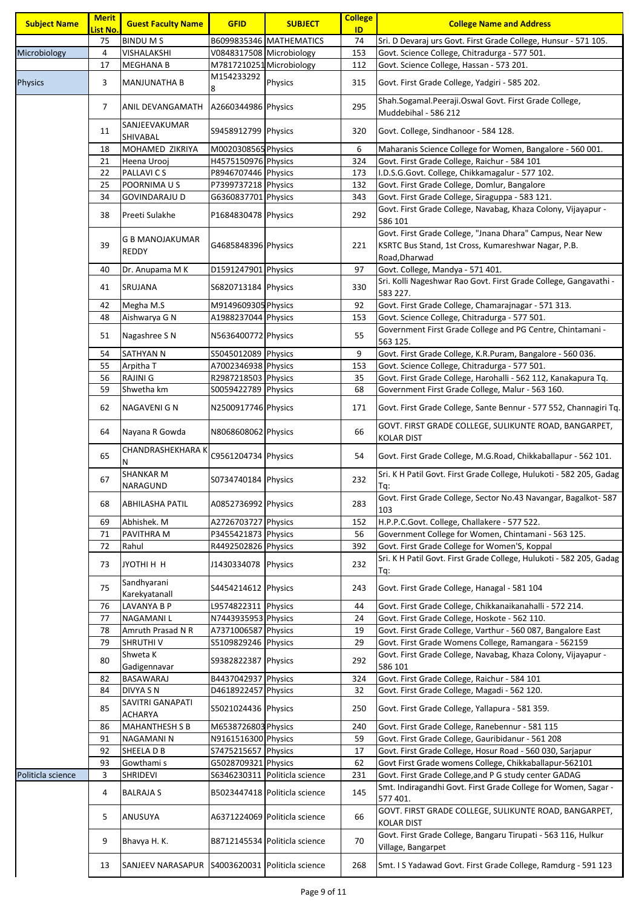| <b>Subject Name</b> | <b>Merit</b><br><mark>List No.</mark> | <b>Guest Faculty Name</b>                       | <b>GFID</b>              | <b>SUBJECT</b>                | <b>College</b><br>ID | <b>College Name and Address</b>                                                                                                   |
|---------------------|---------------------------------------|-------------------------------------------------|--------------------------|-------------------------------|----------------------|-----------------------------------------------------------------------------------------------------------------------------------|
|                     | 75                                    | <b>BINDUMS</b>                                  |                          | B6099835346 MATHEMATICS       | 74                   | Sri. D Devaraj urs Govt. First Grade College, Hunsur - 571 105.                                                                   |
| Microbiology        | 4                                     | VISHALAKSHI                                     | V0848317508 Microbiology |                               | 153                  | Govt. Science College, Chitradurga - 577 501.                                                                                     |
|                     | 17                                    | <b>MEGHANA B</b>                                | M7817210251 Microbiology |                               | 112                  | Govt. Science College, Hassan - 573 201.                                                                                          |
|                     |                                       |                                                 | M154233292               |                               |                      |                                                                                                                                   |
| <b>Physics</b>      | 3                                     | <b>MANJUNATHA B</b>                             | 8                        | Physics                       | 315                  | Govt. First Grade College, Yadgiri - 585 202.                                                                                     |
|                     | 7                                     | ANIL DEVANGAMATH                                | A2660344986 Physics      |                               | 295                  | Shah.Sogamal.Peeraji.Oswal Govt. First Grade College,<br>Muddebihal - 586 212                                                     |
|                     | 11                                    | SANJEEVAKUMAR<br>SHIVABAL                       | S9458912799 Physics      |                               | 320                  | Govt. College, Sindhanoor - 584 128.                                                                                              |
|                     | 18                                    | MOHAMED ZIKRIYA                                 | M0020308565 Physics      |                               | 6                    | Maharanis Science College for Women, Bangalore - 560 001.                                                                         |
|                     | 21                                    | Heena Urooj                                     | H4575150976 Physics      |                               | 324                  | Govt. First Grade College, Raichur - 584 101                                                                                      |
|                     | 22                                    | PALLAVI C S                                     | P8946707446 Physics      |                               | 173                  | I.D.S.G.Govt. College, Chikkamagalur - 577 102.                                                                                   |
|                     | 25                                    | POORNIMA U S                                    | P7399737218 Physics      |                               | 132                  | Govt. First Grade College, Domlur, Bangalore                                                                                      |
|                     | 34                                    | GOVINDARAJU D                                   | G6360837701 Physics      |                               | 343                  | Govt. First Grade College, Siraguppa - 583 121.                                                                                   |
|                     | 38                                    | Preeti Sulakhe                                  | P1684830478 Physics      |                               | 292                  | Govt. First Grade College, Navabag, Khaza Colony, Vijayapur -<br>586 101                                                          |
|                     | 39                                    | <b>G B MANOJAKUMAR</b><br><b>REDDY</b>          | G4685848396 Physics      |                               | 221                  | Govt. First Grade College, "Jnana Dhara" Campus, Near New<br>KSRTC Bus Stand, 1st Cross, Kumareshwar Nagar, P.B.<br>Road, Dharwad |
|                     | 40                                    | Dr. Anupama M K                                 | D1591247901 Physics      |                               | 97                   | Govt. College, Mandya - 571 401.                                                                                                  |
|                     | 41                                    | SRUJANA                                         | S6820713184 Physics      |                               | 330                  | Sri. Kolli Nageshwar Rao Govt. First Grade College, Gangavathi -<br>583 227.                                                      |
|                     | 42                                    | Megha M.S                                       | M9149609305 Physics      |                               | 92                   | Govt. First Grade College, Chamarajnagar - 571 313.                                                                               |
|                     | 48                                    | Aishwarya G N                                   | A1988237044 Physics      |                               | 153                  | Govt. Science College, Chitradurga - 577 501.                                                                                     |
|                     | 51                                    | Nagashree S N                                   | N5636400772 Physics      |                               | 55                   | Government First Grade College and PG Centre, Chintamani -                                                                        |
|                     |                                       |                                                 |                          |                               |                      | 563 125.                                                                                                                          |
|                     | 54                                    | SATHYAN N                                       | S5045012089 Physics      |                               | 9                    | Govt. First Grade College, K.R.Puram, Bangalore - 560 036.                                                                        |
|                     | 55                                    | Arpitha T                                       | A7002346938 Physics      |                               | 153                  | Govt. Science College, Chitradurga - 577 501.                                                                                     |
|                     | 56                                    | RAJINI G                                        | R2987218503 Physics      |                               | 35                   | Govt. First Grade College, Harohalli - 562 112, Kanakapura Tq.                                                                    |
|                     | 59                                    | Shwetha km                                      | S0059422789 Physics      |                               | 68                   | Government First Grade College, Malur - 563 160.                                                                                  |
|                     | 62                                    | NAGAVENI G N                                    | N2500917746 Physics      |                               | 171                  | Govt. First Grade College, Sante Bennur - 577 552, Channagiri Tq.                                                                 |
|                     | 64                                    | Nayana R Gowda                                  | N8068608062 Physics      |                               | 66                   | GOVT. FIRST GRADE COLLEGE, SULIKUNTE ROAD, BANGARPET,<br><b>KOLAR DIST</b>                                                        |
|                     | 65                                    | CHANDRASHEKHARA K<br>N                          | C9561204734 Physics      |                               | 54                   | Govt. First Grade College, M.G.Road, Chikkaballapur - 562 101.                                                                    |
|                     | 67                                    | SHANKAR M<br>NARAGUND                           | S0734740184 Physics      |                               | 232                  | Sri. K H Patil Govt. First Grade College, Hulukoti - 582 205, Gadag<br>Td:                                                        |
|                     | 68                                    | <b>ABHILASHA PATIL</b>                          | A0852736992 Physics      |                               | 283                  | Govt. First Grade College, Sector No.43 Navangar, Bagalkot- 587<br>103                                                            |
|                     | 69                                    | Abhishek. M                                     | A2726703727 Physics      |                               | 152                  | H.P.P.C.Govt. College, Challakere - 577 522.                                                                                      |
|                     | 71                                    | PAVITHRA M                                      | P3455421873 Physics      |                               | 56                   | Government College for Women, Chintamani - 563 125.                                                                               |
|                     | 72                                    | Rahul                                           | R4492502826 Physics      |                               | 392                  | Govt. First Grade College for Women'S, Koppal                                                                                     |
|                     | 73                                    | JYOTHI H H                                      | J1430334078 Physics      |                               | 232                  | Sri. K H Patil Govt. First Grade College, Hulukoti - 582 205, Gadag<br>Tq:                                                        |
|                     | 75                                    | Sandhyarani<br>Karekyatanall                    | S4454214612 Physics      |                               | 243                  | Govt. First Grade College, Hanagal - 581 104                                                                                      |
|                     | 76                                    | <b>LAVANYA B P</b>                              | L9574822311 Physics      |                               | 44                   | Govt. First Grade College, Chikkanaikanahalli - 572 214.                                                                          |
|                     | 77                                    | <b>NAGAMANIL</b>                                | N7443935953 Physics      |                               | 24                   | Govt. First Grade College, Hoskote - 562 110.                                                                                     |
|                     | 78                                    | Amruth Prasad N R                               | A7371006587 Physics      |                               | 19                   | Govt. First Grade College, Varthur - 560 087, Bangalore East                                                                      |
|                     | 79                                    | SHRUTHI V                                       | S5109829246 Physics      |                               | 29                   | Govt. First Grade Womens College, Ramangara - 562159                                                                              |
|                     | 80                                    | Shweta K                                        | S9382822387 Physics      |                               | 292                  | Govt. First Grade College, Navabag, Khaza Colony, Vijayapur -<br>586 101                                                          |
|                     |                                       | Gadigennavar                                    | B4437042937 Physics      |                               |                      |                                                                                                                                   |
|                     | 82                                    | BASAWARAJ                                       |                          |                               | 324                  | Govt. First Grade College, Raichur - 584 101                                                                                      |
|                     | 84                                    | <b>DIVYA SN</b><br>SAVITRI GANAPATI             | D4618922457 Physics      |                               | 32                   | Govt. First Grade College, Magadi - 562 120.                                                                                      |
|                     | 85                                    | <b>ACHARYA</b>                                  | S5021024436 Physics      |                               | 250                  | Govt. First Grade College, Yallapura - 581 359.                                                                                   |
|                     | 86                                    | <b>MAHANTHESH S B</b>                           | M6538726803 Physics      |                               | 240                  | Govt. First Grade College, Ranebennur - 581 115                                                                                   |
|                     | 91                                    | NAGAMANI N                                      | N9161516300 Physics      |                               | 59                   | Govt. First Grade College, Gauribidanur - 561 208                                                                                 |
|                     | 92                                    | SHEELA D B                                      | S7475215657 Physics      |                               | 17                   | Govt. First Grade College, Hosur Road - 560 030, Sarjapur                                                                         |
|                     | 93                                    | Gowthami s                                      | G5028709321 Physics      |                               | 62                   | Govt First Grade womens College, Chikkaballapur-562101                                                                            |
| Politicla science   | 3                                     | <b>SHRIDEVI</b>                                 |                          | S6346230311 Politicla science | 231                  | Govt. First Grade College, and P G study center GADAG                                                                             |
|                     | 4                                     | <b>BALRAJA S</b>                                |                          | B5023447418 Politicla science | 145                  | Smt. Indiragandhi Govt. First Grade College for Women, Sagar -<br>577 401.                                                        |
|                     | 5                                     | ANUSUYA                                         |                          | A6371224069 Politicla science | 66                   | GOVT. FIRST GRADE COLLEGE, SULIKUNTE ROAD, BANGARPET,<br><b>KOLAR DIST</b>                                                        |
|                     | 9                                     | Bhavya H. K.                                    |                          | B8712145534 Politicla science | 70                   | Govt. First Grade College, Bangaru Tirupati - 563 116, Hulkur<br>Village, Bangarpet                                               |
|                     | 13                                    | SANJEEV NARASAPUR S4003620031 Politicla science |                          |                               | 268                  | Smt. I S Yadawad Govt. First Grade College, Ramdurg - 591 123                                                                     |
|                     |                                       |                                                 |                          |                               |                      |                                                                                                                                   |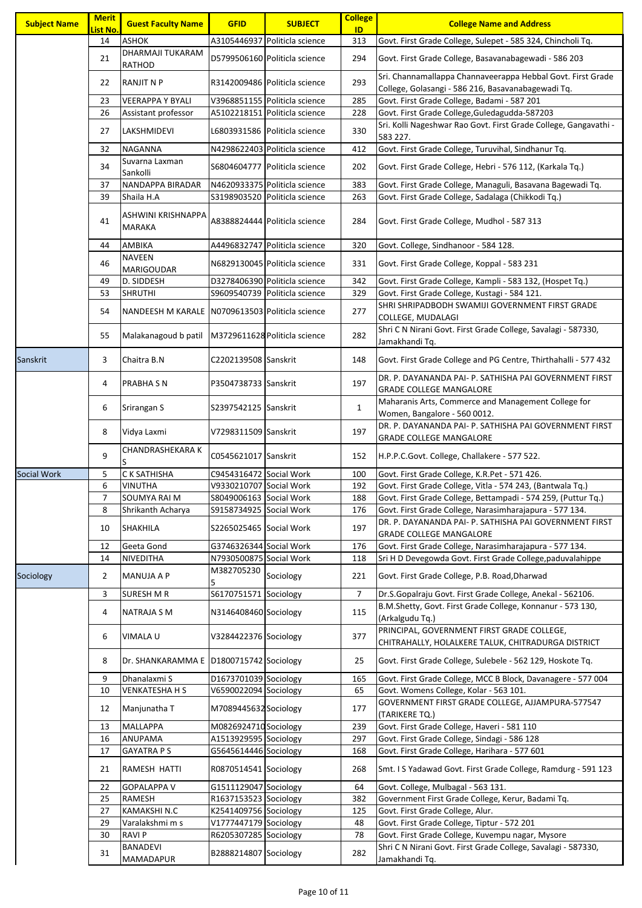| <b>Subject Name</b> | <b>Merit</b><br>List No. | <b>Guest Faculty Name</b>                       | <b>GFID</b>             | <b>SUBJECT</b>                  | <b>College</b><br>ID | <b>College Name and Address</b>                                                                                   |
|---------------------|--------------------------|-------------------------------------------------|-------------------------|---------------------------------|----------------------|-------------------------------------------------------------------------------------------------------------------|
|                     | 14                       | <b>ASHOK</b>                                    | A3105446937             | Politicla science               | 313                  | Govt. First Grade College, Sulepet - 585 324, Chincholi Tq.                                                       |
|                     | 21                       | DHARMAJI TUKARAM<br><b>RATHOD</b>               |                         | D5799506160 Politicla science   | 294                  | Govt. First Grade College, Basavanabagewadi - 586 203                                                             |
|                     | 22                       | <b>RANJIT N P</b>                               |                         | R3142009486 Politicla science   | 293                  | Sri. Channamallappa Channaveerappa Hebbal Govt. First Grade<br>College, Golasangi - 586 216, Basavanabagewadi Tq. |
|                     | 23                       | VEERAPPA Y BYALI                                |                         | V3968851155 Politicla science   | 285                  | Govt. First Grade College, Badami - 587 201                                                                       |
|                     | 26                       | Assistant professor                             |                         | A5102218151   Politicla science | 228                  | Govt. First Grade College, Guledagudda-587203                                                                     |
|                     | 27                       | LAKSHMIDEVI                                     | L6803931586             | Politicla science               | 330                  | Sri. Kolli Nageshwar Rao Govt. First Grade College, Gangavathi -<br>583 227.                                      |
|                     | 32                       | <b>NAGANNA</b>                                  |                         | N4298622403 Politicla science   | 412                  | Govt. First Grade College, Turuvihal, Sindhanur Tq.                                                               |
|                     | 34                       | Suvarna Laxman<br>Sankolli                      |                         | S6804604777 Politicla science   | 202                  | Govt. First Grade College, Hebri - 576 112, (Karkala Tq.)                                                         |
|                     | 37                       | NANDAPPA BIRADAR                                |                         | N4620933375 Politicla science   | 383                  | Govt. First Grade College, Managuli, Basavana Bagewadi Tq.                                                        |
|                     | 39                       | Shaila H.A                                      |                         | S3198903520 Politicla science   | 263                  | Govt. First Grade College, Sadalaga (Chikkodi Tq.)                                                                |
|                     | 41                       | ASHWINI KRISHNAPPA<br><b>MARAKA</b>             |                         | A8388824444 Politicla science   | 284                  | Govt. First Grade College, Mudhol - 587 313                                                                       |
|                     | 44                       | AMBIKA                                          |                         | A4496832747 Politicla science   | 320                  | Govt. College, Sindhanoor - 584 128.                                                                              |
|                     | 46                       | <b>NAVEEN</b><br><b>MARIGOUDAR</b>              |                         | N6829130045 Politicla science   | 331                  | Govt. First Grade College, Koppal - 583 231                                                                       |
|                     | 49                       | D. SIDDESH                                      |                         | D3278406390 Politicla science   | 342                  | Govt. First Grade College, Kampli - 583 132, (Hospet Tq.)                                                         |
|                     | 53                       | <b>SHRUTHI</b>                                  |                         | S9609540739   Politicla science | 329                  | Govt. First Grade College, Kustagi - 584 121.                                                                     |
|                     | 54                       | NANDEESH M KARALE N0709613503 Politicla science |                         |                                 | 277                  | SHRI SHRIPADBODH SWAMIJI GOVERNMENT FIRST GRADE<br>COLLEGE, MUDALAGI                                              |
|                     | 55                       | Malakanagoud b patil                            |                         | M3729611628 Politicla science   | 282                  | Shri C N Nirani Govt. First Grade College, Savalagi - 587330,<br>Jamakhandi Tq.                                   |
| Sanskrit            | 3                        | Chaitra B.N                                     | C2202139508 Sanskrit    |                                 | 148                  | Govt. First Grade College and PG Centre, Thirthahalli - 577 432                                                   |
|                     | 4                        | <b>PRABHA S N</b>                               | P3504738733 Sanskrit    |                                 | 197                  | DR. P. DAYANANDA PAI- P. SATHISHA PAI GOVERNMENT FIRST<br><b>GRADE COLLEGE MANGALORE</b>                          |
|                     | 6                        | Srirangan S                                     | S2397542125 Sanskrit    |                                 | $\mathbf{1}$         | Maharanis Arts, Commerce and Management College for<br>Women, Bangalore - 560 0012.                               |
|                     | 8                        | Vidya Laxmi                                     | V7298311509 Sanskrit    |                                 | 197                  | DR. P. DAYANANDA PAI- P. SATHISHA PAI GOVERNMENT FIRST<br><b>GRADE COLLEGE MANGALORE</b>                          |
|                     | 9                        | <b>CHANDRASHEKARA K</b>                         | C0545621017 Sanskrit    |                                 | 152                  | H.P.P.C.Govt. College, Challakere - 577 522.                                                                      |
| Social Work         | 5                        | C K SATHISHA                                    | C9454316472 Social Work |                                 | 100                  | Govt. First Grade College, K.R.Pet - 571 426.                                                                     |
|                     | 6                        | VINUTHA                                         | V9330210707 Social Work |                                 | 192                  | Govt. First Grade College, Vitla - 574 243, (Bantwala Tq.)                                                        |
|                     | $\overline{7}$           | SOUMYA RAI M                                    | S8049006163 Social Work |                                 | 188                  | Govt. First Grade College, Bettampadi - 574 259, (Puttur Tq.)                                                     |
|                     | 8                        | Shrikanth Acharya                               | S9158734925 Social Work |                                 | 176                  | Govt. First Grade College, Narasimharajapura - 577 134.                                                           |
|                     | 10                       | <b>SHAKHILA</b>                                 | S2265025465 Social Work |                                 | 197                  | DR. P. DAYANANDA PAI- P. SATHISHA PAI GOVERNMENT FIRST<br><b>GRADE COLLEGE MANGALORE</b>                          |
|                     | 12                       | Geeta Gond                                      | G3746326344 Social Work |                                 | 176                  | Govt. First Grade College, Narasimharajapura - 577 134.                                                           |
|                     | 14                       | NIVEDITHA                                       | N7930500875 Social Work |                                 | 118                  | Sri H D Devegowda Govt. First Grade College, paduvalahippe                                                        |
| Sociology           | $\overline{2}$           | <b>MANUJA A P</b>                               | M382705230<br>5         | Sociology                       | 221                  | Govt. First Grade College, P.B. Road, Dharwad                                                                     |
|                     | 3                        | <b>SURESH M R</b>                               | S6170751571 Sociology   |                                 | $\overline{7}$       | Dr.S.Gopalraju Govt. First Grade College, Anekal - 562106.                                                        |
|                     | 4                        | <b>NATRAJA S M</b>                              | N3146408460 Sociology   |                                 | 115                  | B.M.Shetty, Govt. First Grade College, Konnanur - 573 130,<br>(Arkalgudu Tq.)                                     |
|                     | 6                        | VIMALA U                                        | V3284422376 Sociology   |                                 | 377                  | PRINCIPAL, GOVERNMENT FIRST GRADE COLLEGE,<br>CHITRAHALLY, HOLALKERE TALUK, CHITRADURGA DISTRICT                  |
|                     | 8                        | Dr. SHANKARAMMA E   D1800715742 Sociology       |                         |                                 | 25                   | Govt. First Grade College, Sulebele - 562 129, Hoskote Tq.                                                        |
|                     | 9                        | Dhanalaxmi S                                    | D1673701039 Sociology   |                                 | 165                  | Govt. First Grade College, MCC B Block, Davanagere - 577 004                                                      |
|                     | 10                       | <b>VENKATESHA H S</b>                           | V6590022094 Sociology   |                                 | 65                   | Govt. Womens College, Kolar - 563 101.                                                                            |
|                     | 12                       | Manjunatha T                                    | M7089445632 Sociology   |                                 | 177                  | GOVERNMENT FIRST GRADE COLLEGE, AJJAMPURA-577547<br>(TARIKERE TQ.)                                                |
|                     | 13                       | <b>MALLAPPA</b>                                 | M0826924710 Sociology   |                                 | 239                  | Govt. First Grade College, Haveri - 581 110                                                                       |
|                     | 16                       | ANUPAMA                                         | A1513929595 Sociology   |                                 | 297                  | Govt. First Grade College, Sindagi - 586 128                                                                      |
|                     | 17                       | <b>GAYATRA PS</b>                               | G5645614446 Sociology   |                                 | 168                  | Govt. First Grade College, Harihara - 577 601                                                                     |
|                     | 21                       | RAMESH HATTI                                    | R0870514541 Sociology   |                                 | 268                  | Smt. I S Yadawad Govt. First Grade College, Ramdurg - 591 123                                                     |
|                     | 22                       | <b>GOPALAPPA V</b>                              | G1511129047 Sociology   |                                 | 64                   | Govt. College, Mulbagal - 563 131.                                                                                |
|                     | 25                       | <b>RAMESH</b>                                   | R1637153523 Sociology   |                                 | 382                  | Government First Grade College, Kerur, Badami Tq.                                                                 |
|                     | 27                       | KAMAKSHI N.C                                    | K2541409756 Sociology   |                                 | 125                  | Govt. First Grade College, Alur.                                                                                  |
|                     | 29                       | Varalakshmi m s                                 | V1777447179 Sociology   |                                 | 48                   | Govt. First Grade College, Tiptur - 572 201                                                                       |
|                     | 30                       | <b>RAVIP</b>                                    | R6205307285 Sociology   |                                 | 78                   | Govt. First Grade College, Kuvempu nagar, Mysore                                                                  |
|                     | 31                       | BANADEVI<br>MAMADAPUR                           | B2888214807 Sociology   |                                 | 282                  | Shri C N Nirani Govt. First Grade College, Savalagi - 587330,<br>Jamakhandi Tq.                                   |